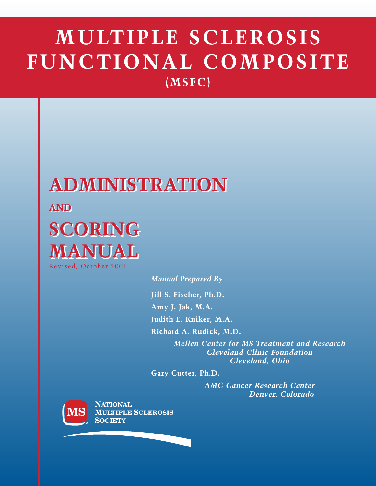## **MULTIPLE SCLEROSIS FUNCTIONAL COMPOSITE (MSFC)**

## **ADMINISTRATION ADMINISTRATION**

**AND AND**

# **SCORING SCORING MANUAL MANUAL**

Revised, October 2001

*Manual Prepared By*

**Jill S. Fischer, Ph.D. Amy J. Jak, M.A. Judith E. Kniker, M.A. Richard A. Rudick, M.D.**

> *Mellen Center for MS Treatment and Research Cleveland Clinic Foundation Cleveland, Ohio*

**Gary Cutter, Ph.D.**

*AMC Cancer Research Center Denver, Colorado*



**NATIONAL MULTIPLE SCLEROSIS** SOCIETY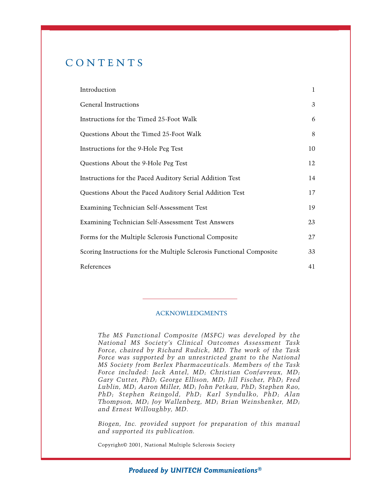### CONTENTS

| Introduction                                                         | 1  |
|----------------------------------------------------------------------|----|
| General Instructions                                                 | 3  |
| Instructions for the Timed 25-Foot Walk                              | 6  |
| Questions About the Timed 25-Foot Walk                               | 8  |
| Instructions for the 9-Hole Peg Test                                 | 10 |
| Questions About the 9-Hole Peg Test                                  | 12 |
| Instructions for the Paced Auditory Serial Addition Test             | 14 |
| Questions About the Paced Auditory Serial Addition Test              | 17 |
| Examining Technician Self-Assessment Test                            | 19 |
| Examining Technician Self-Assessment Test Answers                    | 23 |
| Forms for the Multiple Sclerosis Functional Composite                | 27 |
| Scoring Instructions for the Multiple Sclerosis Functional Composite | 33 |
| References                                                           | 41 |

#### ACKNOWLEDGMENTS

*The MS Functional Composite (MSFC) was developed by the National MS Society's Clinical Outcomes Assessment Task Force, chaired by Richard Rudick, MD. The work of the Task Force was supported by an unrestricted grant to the National MS Society from Berlex Pharmaceuticals. Members of the Task Force included: Jack Antel, MD; Christian Confavreux, MD; Gary Cutter, PhD; George Ellison, MD; Jill Fischer, PhD; Fred Lublin, MD; Aaron Miller, MD; John Petkau, PhD; Stephen Rao, PhD; Stephen Reingold, PhD; Karl Syndulko, PhD; Alan Thompson, MD; Joy Wallenberg, MD; Brian Weinshenker, MD; and Ernest Willoughby, MD.* 

*Biogen, Inc. provided support for preparation of this manual and supported its publication.* 

Copyright© 2001, National Multiple Sclerosis Society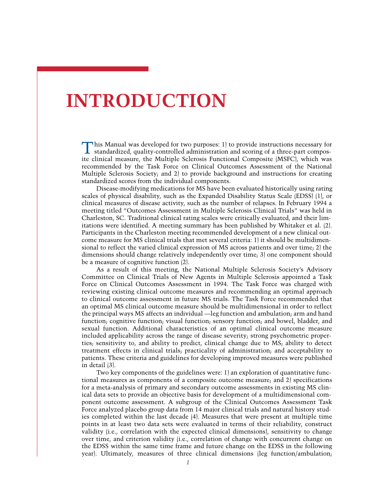## **INTRODUCTION**

This Manual was developed for two purposes: 1) to provide instructions necessary for standardized, quality-controlled administration and scoring of a three-part composite clinical measure, the Multiple Sclerosis Functional Composite (MSFC), which was recommended by the Task Force on Clinical Outcomes Assessment of the National Multiple Sclerosis Society; and 2) to provide background and instructions for creating standardized scores from the individual components.

Disease-modifying medications for MS have been evaluated historically using rating scales of physical disability, such as the Expanded Disability Status Scale (EDSS) (1), or clinical measures of disease activity, such as the number of relapses. In February 1994 a meeting titled "Outcomes Assessment in Multiple Sclerosis Clinical Trials" was held in Charleston, SC. Traditional clinical rating scales were critically evaluated, and their limitations were identified. A meeting summary has been published by Whitaker et al. (2). Participants in the Charleston meeting recommended development of a new clinical outcome measure for MS clinical trials that met several criteria: 1) it should be multidimensional to reflect the varied clinical expression of MS across patients and over time; 2) the dimensions should change relatively independently over time; 3) one component should be a measure of cognitive function (2).

As a result of this meeting, the National Multiple Sclerosis Society's Advisory Committee on Clinical Trials of New Agents in Multiple Sclerosis appointed a Task Force on Clinical Outcomes Assessment in 1994. The Task Force was charged with reviewing existing clinical outcome measures and recommending an optimal approach to clinical outcome assessment in future MS trials. The Task Force recommended that an optimal MS clinical outcome measure should be multidimensional in order to reflect the principal ways MS affects an individual —leg function and ambulation; arm and hand function; cognitive function; visual function; sensory function; and bowel, bladder, and sexual function. Additional characteristics of an optimal clinical outcome measure included applicability across the range of disease severity; strong psychometric properties; sensitivity to, and ability to predict, clinical change due to MS; ability to detect treatment effects in clinical trials; practicality of administration; and acceptability to patients. These criteria and guidelines for developing improved measures were published in detail (3).

Two key components of the guidelines were: 1) an exploration of quantitative functional measures as components of a composite outcome measure; and 2) specifications for a meta-analysis of primary and secondary outcome assessments in existing MS clinical data sets to provide an objective basis for development of a multidimensional component outcome assessment. A subgroup of the Clinical Outcomes Assessment Task Force analyzed placebo group data from 14 major clinical trials and natural history studies completed within the last decade (4). Measures that were present at multiple time points in at least two data sets were evaluated in terms of their reliability, construct validity (i.e., correlation with the expected clinical dimensions), sensitivity to change over time, and criterion validity (i.e., correlation of change with concurrent change on the EDSS within the same time frame and future change on the EDSS in the following year). Ultimately, measures of three clinical dimensions (leg function/ambulation;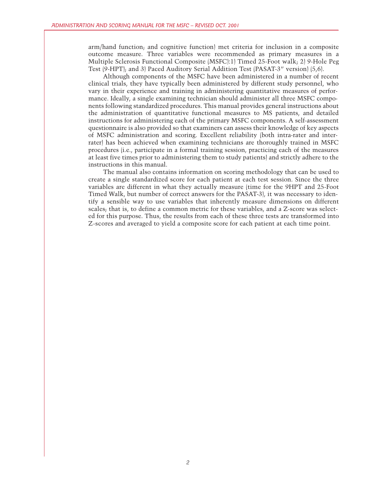arm/hand function; and cognitive function) met criteria for inclusion in a composite outcome measure. Three variables were recommended as primary measures in a Multiple Sclerosis Functional Composite (MSFC):1) Timed 25-Foot walk; 2) 9-Hole Peg Test (9-HPT); and 3) Paced Auditory Serial Addition Test (PASAT-3" version) (5,6).

Although components of the MSFC have been administered in a number of recent clinical trials, they have typically been administered by different study personnel, who vary in their experience and training in administering quantitative measures of performance. Ideally, a single examining technician should administer all three MSFC components following standardized procedures. This manual provides general instructions about the administration of quantitative functional measures to MS patients, and detailed instructions for administering each of the primary MSFC components. A self-assessment questionnaire is also provided so that examiners can assess their knowledge of key aspects of MSFC administration and scoring. Excellent reliability (both intra-rater and interrater) has been achieved when examining technicians are thoroughly trained in MSFC procedures (i.e., participate in a formal training session, practicing each of the measures at least five times prior to administering them to study patients) and strictly adhere to the instructions in this manual.

The manual also contains information on scoring methodology that can be used to create a single standardized score for each patient at each test session. Since the three variables are different in what they actually measure (time for the 9HPT and 25-Foot Timed Walk, but number of correct answers for the PASAT-3), it was necessary to identify a sensible way to use variables that inherently measure dimensions on different scales; that is, to define a common metric for these variables, and a Z-score was selected for this purpose. Thus, the results from each of these three tests are transformed into Z-scores and averaged to yield a composite score for each patient at each time point.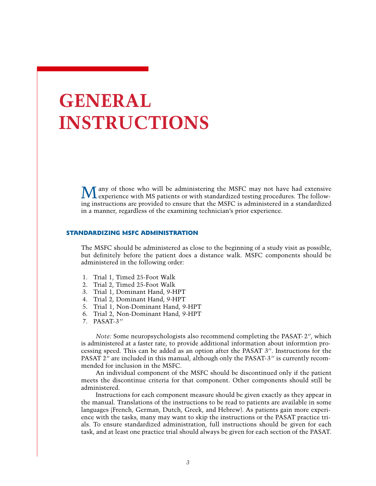## **GENERAL INSTRUCTIONS**

M any of those who will be administering the MSFC may not have had extensive experience with MS patients or with standardized testing procedures. The following instructions are provided to ensure that the MSFC is administered in a standardized in a manner, regardless of the examining technician's prior experience.

#### STANDARDIZING MSFC ADMINISTRATION

The MSFC should be administered as close to the beginning of a study visit as possible, but definitely before the patient does a distance walk. MSFC components should be administered in the following order:

- 1. Trial 1, Timed 25-Foot Walk
- 2. Trial 2, Timed 25-Foot Walk
- 3. Trial 1, Dominant Hand, 9-HPT
- 4. Trial 2, Dominant Hand, 9-HPT
- 5. Trial 1, Non-Dominant Hand, 9-HPT
- 6. Trial 2, Non-Dominant Hand, 9-HPT
- 7. PASAT-3''

*Note:* Some neuropsychologists also recommend completing the PASAT- 2'', which is administered at a faster rate, to provide additional information about informtion processing speed. This can be added as an option after the PASAT 3''. Instructions for the PASAT 2'' are included in this manual, although only the PASAT-3'' is currently recommended for inclusion in the MSFC.

An individual component of the MSFC should be discontinued only if the patient meets the discontinue criteria for that component. Other components should still be administered.

Instructions for each component measure should be given exactly as they appear in the manual. Translations of the instructions to be read to patients are available in some languages (French, German, Dutch, Greek, and Hebrew). As patients gain more experience with the tasks, many may want to skip the instructions or the PASAT practice trials. To ensure standardized administration, full instructions should be given for each task, and at least one practice trial should always be given for each section of the PASAT.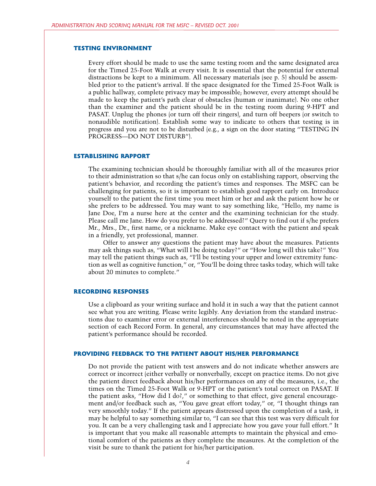#### TESTING ENVIRONMENT

Every effort should be made to use the same testing room and the same designated area for the Timed 25-Foot Walk at every visit. It is essential that the potential for external distractions be kept to a minimum. All necessary materials (see p. 5) should be assembled prior to the patient's arrival. If the space designated for the Timed 25-Foot Walk is a public hallway, complete privacy may be impossible; however, every attempt should be made to keep the patient's path clear of obstacles (human or inanimate). No one other than the examiner and the patient should be in the testing room during 9-HPT and PASAT. Unplug the phones (or turn off their ringers), and turn off beepers (or switch to nonaudible notification). Establish some way to indicate to others that testing is in progress and you are not to be disturbed (e.g., a sign on the door stating "TESTING IN PROGRESS—DO NOT DISTURB").

#### ESTABLISHING RAPPORT

The examining technician should be thoroughly familiar with all of the measures prior to their administration so that s/he can focus only on establishing rapport, observing the patient's behavior, and recording the patient's times and responses. The MSFC can be challenging for patients, so it is important to establish good rapport early on. Introduce yourself to the patient the first time you meet him or her and ask the patient how he or she prefers to be addressed. You may want to say something like, "Hello, my name is Jane Doe, I'm a nurse here at the center and the examining technician for the study. Please call me Jane. How do you prefer to be addressed?" Query to find out if s/he prefers Mr., Mrs., Dr., first name, or a nickname. Make eye contact with the patient and speak in a friendly, yet professional, manner.

Offer to answer any questions the patient may have about the measures. Patients may ask things such as, "What will I be doing today?" or "How long will this take?" You may tell the patient things such as, "I'll be testing your upper and lower extremity function as well as cognitive function," or, "You'll be doing three tasks today, which will take about 20 minutes to complete."

#### RECORDING RESPONSES

Use a clipboard as your writing surface and hold it in such a way that the patient cannot see what you are writing. Please write legibly. Any deviation from the standard instructions due to examiner error or external interferences should be noted in the appropriate section of each Record Form. In general, any circumstances that may have affected the patient's performance should be recorded.

#### PROVIDING FEEDBACK TO THE PATIENT ABOUT HIS/HER PERFORMANCE

Do not provide the patient with test answers and do not indicate whether answers are correct or incorrect (either verbally or nonverbally, except on practice items. Do not give the patient direct feedback about his/her performances on any of the measures, i.e., the times on the Timed 25-Foot Walk or 9-HPT or the patient's total correct on PASAT. If the patient asks, "How did I do?," or something to that effect, give general encouragement and/or feedback such as, "You gave great effort today," or, "I thought things ran very smoothly today." If the patient appears distressed upon the completion of a task, it may be helpful to say something similar to, "I can see that this test was very difficult for you. It can be a very challenging task and I appreciate how you gave your full effort." It is important that you make all reasonable attempts to maintain the physical and emotional comfort of the patients as they complete the measures. At the completion of the visit be sure to thank the patient for his/her participation.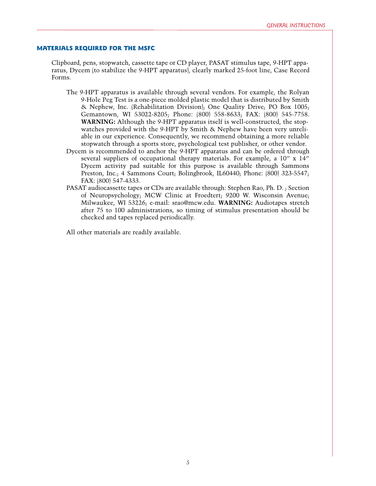#### MATERIALS REQUIRED FOR THE MSFC

Clipboard, pens, stopwatch, cassette tape or CD player, PASAT stimulus tape, 9-HPT apparatus, Dycem (to stabilize the 9-HPT apparatus), clearly marked 25-foot line, Case Record Forms.

- The 9-HPT apparatus is available through several vendors. For example, the Rolyan 9-Hole Peg Test is a one-piece molded plastic model that is distributed by Smith & Nephew, Inc. (Rehabilitation Division); One Quality Drive; PO Box 1005; Gemantown, WI 53022-8205; Phone: (800) 558-8633; FAX: (800) 545-7758. **WARNING:** Although the 9-HPT apparatus itself is well-constructed, the stopwatches provided with the 9-HPT by Smith & Nephew have been very unreliable in our experience. Consequently, we recommend obtaining a more reliable stopwatch through a sports store, psychological test publisher, or other vendor.
- Dycem is recommended to anchor the 9-HPT apparatus and can be ordered through several suppliers of occupational therapy materials. For example, a  $10''$  x  $14''$ Dycem activity pad suitable for this purpose is available through Sammons Preston, Inc.; 4 Sammons Court; Bolingbrook, IL60440; Phone: (800) 323-5547; FAX: (800) 547-4333.
- PASAT audiocassette tapes or CDs are available through: Stephen Rao, Ph. D. ; Section of Neuropsychology; MCW Clinic at Froedtert; 9200 W. Wisconsin Avenue; Milwaukee, WI 53226; e-mail: srao@mcw.edu. **WARNING:** Audiotapes stretch after 75 to 100 administrations, so timing of stimulus presentation should be checked and tapes replaced periodically.

All other materials are readily available.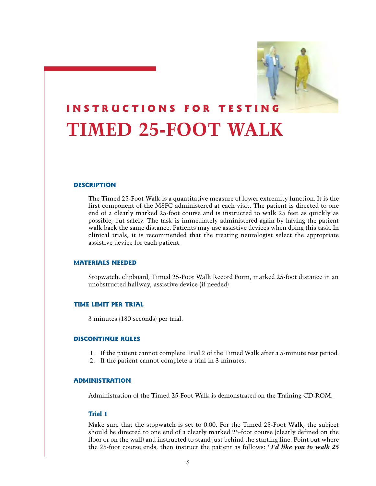

### **TIMED 25-FOOT WALK** INSTRUCTIONS FOR TESTING

#### **DESCRIPTION**

The Timed 25-Foot Walk is a quantitative measure of lower extremity function. It is the first component of the MSFC administered at each visit. The patient is directed to one end of a clearly marked 25-foot course and is instructed to walk 25 feet as quickly as possible, but safely. The task is immediately administered again by having the patient walk back the same distance. Patients may use assistive devices when doing this task. In clinical trials, it is recommended that the treating neurologist select the appropriate assistive device for each patient.

#### MATERIALS NEEDED

Stopwatch, clipboard, Timed 25-Foot Walk Record Form, marked 25-foot distance in an unobstructed hallway, assistive device (if needed)

#### TIME LIMIT PER TRIAL

3 minutes (180 seconds) per trial.

#### DISCONTINUE RULES

- 1. If the patient cannot complete Trial 2 of the Timed Walk after a 5-minute rest period.
- 2. If the patient cannot complete a trial in 3 minutes.

#### ADMINISTRATION

Administration of the Timed 25-Foot Walk is demonstrated on the Training CD-ROM.

#### Trial 1

Make sure that the stopwatch is set to 0:00. For the Timed 25-Foot Walk, the subject should be directed to one end of a clearly marked 25-foot course (clearly defined on the floor or on the wall) and instructed to stand just behind the starting line. Point out where the 25-foot course ends, then instruct the patient as follows: *"I'd like you to walk 25*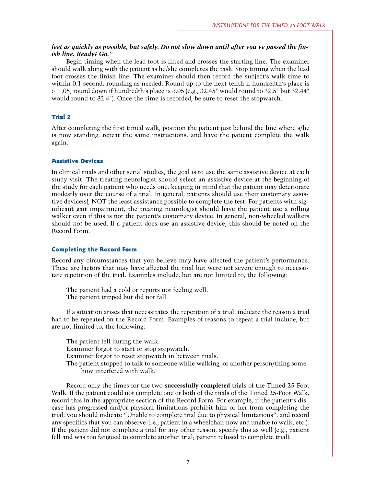#### *feet as quickly as possible, but safely. Do not slow down until after you've passed the finish line. Ready? Go."*

Begin timing when the lead foot is lifted and crosses the starting line. The examiner should walk along with the patient as he/she completes the task. Stop timing when the lead foot crosses the finish line. The examiner should then record the subject's walk time to within 0.1 second, rounding as needed. Round up to the next tenth if hundredth's place is  $>$  = .05, round down if hundredth's place is <.05 (e.g., 32.45" would round to 32.5" but 32.44" would round to 32.4"). Once the time is recorded, be sure to reset the stopwatch.

#### Trial 2

After completing the first timed walk, position the patient just behind the line where s/he is now standing, repeat the same instructions, and have the patient complete the walk again.

#### Assistive Devices

In clinical trials and other serial studies, the goal is to use the same assistive device at each study visit. The treating neurologist should select an assistive device at the beginning of the study for each patient who needs one, keeping in mind that the patient may deteriorate modestly over the course of a trial. In general, patients should use their customary assistive device(s), NOT the least assistance possible to complete the test. For patients with significant gait impairment, the treating neurologist should have the patient use a rolling walker even if this is not the patient's customary device. In general, non-wheeled walkers should *not* be used. If a patient does use an assistive device, this should be noted on the Record Form.

#### Completing the Record Form

Record any circumstances that you believe may have affected the patient's performance. These are factors that may have affected the trial but were not severe enough to necessitate repetition of the trial. Examples include, but are not limited to, the following:

The patient had a cold or reports not feeling well. The patient tripped but did not fall.

If a situation arises that necessitates the repetition of a trial, indicate the reason a trial had to be repeated on the Record Form. Examples of reasons to repeat a trial include, but are not limited to, the following:

The patient fell during the walk. Examiner forgot to start or stop stopwatch. Examiner forgot to reset stopwatch in between trials. The patient stopped to talk to someone while walking, or another person/thing somehow interfered with walk.

Record only the times for the two **successfully completed** trials of the Timed 25-Foot Walk. If the patient could not complete one or both of the trials of the Timed 25-Foot Walk, record this in the appropriate section of the Record Form. For example, if the patient's disease has progressed and/or physical limitations prohibit him or her from completing the trial, you should indicate "Unable to complete trial due to physical limitations", and record any specifics that you can observe (i.e., patient in a wheelchair now and unable to walk, etc.). If the patient did not complete a trial for any other reason, specify this as well (e.g., patient fell and was too fatigued to complete another trial; patient refused to complete trial).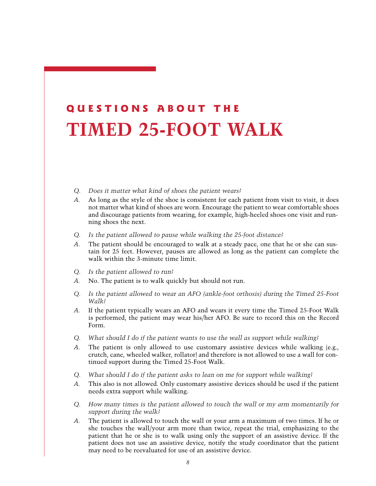### QUESTIONS ABOUT THE **TIMED 25-FOOT WALK**

- *Q. Does it matter what kind of shoes the patient wears?*
- *A.* As long as the style of the shoe is consistent for each patient from visit to visit, it does not matter what kind of shoes are worn. Encourage the patient to wear comfortable shoes and discourage patients from wearing, for example, high-heeled shoes one visit and running shoes the next.
- *Q. Is the patient allowed to pause while walking the 25-foot distance?*
- *A.* The patient should be encouraged to walk at a steady pace, one that he or she can sustain for 25 feet. However, pauses are allowed as long as the patient can complete the walk within the 3-minute time limit.
- *Q. Is the patient allowed to run?*
- *A.* No. The patient is to walk quickly but should not run.
- *Q. Is the patient allowed to wear an AFO (ankle-foot orthosis) during the Timed 25-Foot Walk?*
- *A.* If the patient typically wears an AFO and wears it every time the Timed 25-Foot Walk is performed, the patient may wear his/her AFO. Be sure to record this on the Record Form.
- *Q. What should I do if the patient wants to use the wall as support while walking?*
- *A.* The patient is only allowed to use customary assistive devices while walking (e.g., crutch, cane, wheeled walker, rollator) and therefore is not allowed to use a wall for continued support during the Timed 25-Foot Walk.
- *Q. What should I do if the patient asks to lean on me for support while walking?*
- *A.* This also is not allowed. Only customary assistive devices should be used if the patient needs extra support while walking.
- *Q. How many times is the patient allowed to touch the wall or my arm momentarily for support during the walk?*
- *A.* The patient is allowed to touch the wall or your arm a maximum of two times. If he or she touches the wall/your arm more than twice, repeat the trial, emphasizing to the patient that he or she is to walk using only the support of an assistive device. If the patient does not use an assistive device, notify the study coordinator that the patient may need to be reevaluated for use of an assistive device.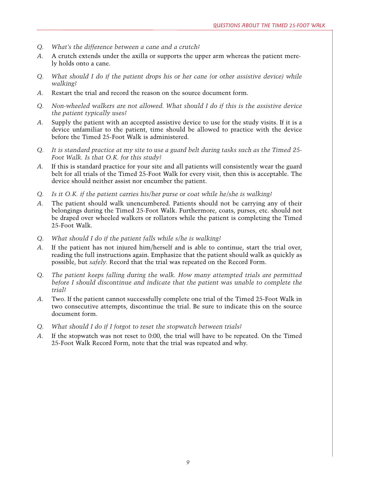- *Q. What's the difference between a cane and a crutch?*
- *A.* A crutch extends under the axilla or supports the upper arm whereas the patient merely holds onto a cane.
- *Q. What should I do if the patient drops his or her cane (or other assistive device) while walking?*
- *A.* Restart the trial and record the reason on the source document form.
- *Q. Non-wheeled walkers are not allowed. What should I do if this is the assistive device the patient typically uses?*
- *A.* Supply the patient with an accepted assistive device to use for the study visits. If it is a device unfamiliar to the patient, time should be allowed to practice with the device before the Timed 25-Foot Walk is administered.
- *Q. It is standard practice at my site to use a guard belt during tasks such as the Timed 25- Foot Walk. Is that O.K. for this study?*
- *A.* If this is standard practice for your site and all patients will consistently wear the guard belt for all trials of the Timed 25-Foot Walk for every visit, then this is acceptable. The device should neither assist nor encumber the patient.
- *Q. Is it O.K. if the patient carries his/her purse or coat while he/she is walking?*
- *A.* The patient should walk unencumbered. Patients should not be carrying any of their belongings during the Timed 25-Foot Walk. Furthermore, coats, purses, etc. should not be draped over wheeled walkers or rollators while the patient is completing the Timed 25-Foot Walk.
- *Q. What should I do if the patient falls while s/he is walking?*
- *A.* If the patient has not injured him/herself and is able to continue, start the trial over, reading the full instructions again. Emphasize that the patient should walk as quickly as possible, but *safely.* Record that the trial was repeated on the Record Form.
- *Q. The patient keeps falling during the walk. How many attempted trials are permitted before I should discontinue and indicate that the patient was unable to complete the trial?*
- *A.* Two. If the patient cannot successfully complete one trial of the Timed 25-Foot Walk in two consecutive attempts, discontinue the trial. Be sure to indicate this on the source document form.
- *Q. What should I do if I forgot to reset the stopwatch between trials?*
- *A.* If the stopwatch was not reset to 0:00, the trial will have to be repeated. On the Timed 25-Foot Walk Record Form, note that the trial was repeated and why.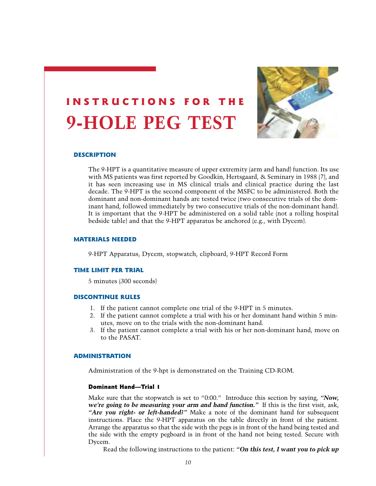

### INSTRUCTIONS FOR THE **9-HOLE PEG TEST**

#### **DESCRIPTION**

The 9-HPT is a quantitative measure of upper extremity (arm and hand) function. Its use with MS patients was first reported by Goodkin, Hertsgaard, & Seminary in 1988 (7), and it has seen increasing use in MS clinical trials and clinical practice during the last decade. The 9-HPT is the second component of the MSFC to be administered. Both the dominant and non-dominant hands are tested twice (two consecutive trials of the dominant hand, followed immediately by two consecutive trials of the non-dominant hand). It is important that the 9-HPT be administered on a solid table (not a rolling hospital bedside table) and that the 9-HPT apparatus be anchored (e.g., with Dycem).

#### MATERIALS NEEDED

9-HPT Apparatus, Dycem, stopwatch, clipboard, 9-HPT Record Form

#### TIME LIMIT PER TRIAL

5 minutes (300 seconds)

#### DISCONTINUE RULES

- 1. If the patient cannot complete one trial of the 9-HPT in 5 minutes.
- 2. If the patient cannot complete a trial with his or her dominant hand within 5 minutes, move on to the trials with the non-dominant hand.
- 3. If the patient cannot complete a trial with his or her non-dominant hand, move on to the PASAT.

#### ADMINISTRATION

Administration of the 9-hpt is demonstrated on the Training CD-ROM.

#### Dominant Hand—Trial 1

Make sure that the stopwatch is set to "0:00." Introduce this section by saying, *"Now, we're going to be measuring your arm and hand function.*" If this is the first visit, ask, *"Are you right- or left-handed?"* Make a note of the dominant hand for subsequent instructions. Place the 9-HPT apparatus on the table directly in front of the patient. Arrange the apparatus so that the side with the pegs is in front of the hand being tested and the side with the empty pegboard is in front of the hand not being tested. Secure with Dycem.

Read the following instructions to the patient: *"On this test, I want you to pick up*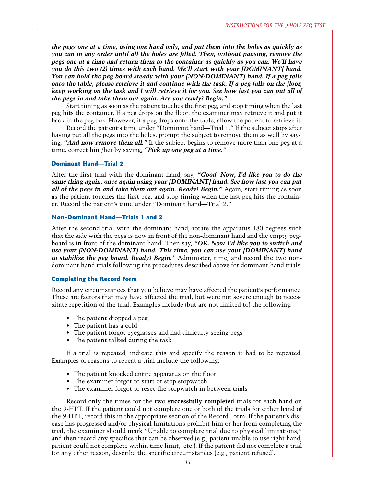*the pegs one at a time, using one hand only, and put them into the holes as quickly as you can in any order until all the holes are filled. Then, without pausing, remove the pegs one at a time and return them to the container as quickly as you can. We'll have you do this two (2) times with each hand. We'll start with your [DOMINANT] hand. You can hold the peg board steady with your [NON-DOMINANT] hand. If a peg falls onto the table, please retrieve it and continue with the task. If a peg falls on the floor, keep working on the task and I will retrieve it for you. See how fast you can put all of the pegs in and take them out again. Are you ready? Begin."*

Start timing as soon as the patient touches the first peg, and stop timing when the last peg hits the container. If a peg drops on the floor, the examiner may retrieve it and put it back in the peg box. However, if a peg drops onto the table, allow the patient to retrieve it.

Record the patient's time under "Dominant hand—Trial 1." If the subject stops after having put all the pegs into the holes, prompt the subject to remove them as well by saying, *"And now remove them all."* If the subject begins to remove more than one peg at a time, correct him/her by saying, *"Pick up one peg at a time."*

#### Dominant Hand—Trial 2

After the first trial with the dominant hand, say, *"Good. Now, I'd like you to do the same thing again, once again using your [DOMINANT] hand. See how fast you can put all of the pegs in and take them out again. Ready? Begin."* Again, start timing as soon as the patient touches the first peg, and stop timing when the last peg hits the container. Record the patient's time under "Dominant hand—Trial 2."

#### Non-Dominant Hand—Trials 1 and 2

After the second trial with the dominant hand, rotate the apparatus 180 degrees such that the side with the pegs is now in front of the non-dominant hand and the empty pegboard is in front of the dominant hand. Then say, *"OK. Now I'd like you to switch and use your [NON-DOMINANT] hand. This time, you can use your [DOMINANT] hand to stabilize the peg board. Ready? Begin."* Administer, time, and record the two nondominant hand trials following the procedures described above for dominant hand trials.

#### Completing the Record Form

Record any circumstances that you believe may have affected the patient's performance. These are factors that may have affected the trial, but were not severe enough to necessitate repetition of the trial. Examples include (but are not limited to) the following:

- The patient dropped a peg
- The patient has a cold
- The patient forgot eyeglasses and had difficulty seeing pegs
- The patient talked during the task

If a trial is repeated, indicate this and specify the reason it had to be repeated. Examples of reasons to repeat a trial include the following:

- The patient knocked entire apparatus on the floor
- The examiner forgot to start or stop stopwatch
- The examiner forgot to reset the stopwatch in between trials

Record only the times for the two **successfully completed** trials for each hand on the 9-HPT. If the patient could not complete one or both of the trials for either hand of the 9-HPT, record this in the appropriate section of the Record Form. If the patient's disease has progressed and/or physical limitations prohibit him or her from completing the trial, the examiner should mark "Unable to complete trial due to physical limitations," and then record any specifics that can be observed (e.g., patient unable to use right hand, patient could not complete within time limit, etc.). If the patient did not complete a trial for any other reason, describe the specific circumstances (e.g., patient refused).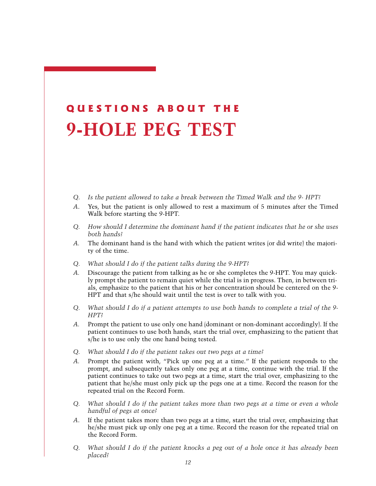### QUESTIONS ABOUT THE **9-HOLE PEG TEST**

- *Q. Is the patient allowed to take a break between the Timed Walk and the 9- HPT?*
- *A*. Yes, but the patient is only allowed to rest a maximum of 5 minutes after the Timed Walk before starting the 9-HPT.
- *Q. How should I determine the dominant hand if the patient indicates that he or she uses both hands?*
- *A.* The dominant hand is the hand with which the patient writes (or did write) the majority of the time.
- *Q. What should I do if the patient talks during the 9-HPT?*
- *A.* Discourage the patient from talking as he or she completes the 9-HPT. You may quickly prompt the patient to remain quiet while the trial is in progress. Then, in between trials, emphasize to the patient that his or her concentration should be centered on the 9- HPT and that s/he should wait until the test is over to talk with you.
- *Q. What should I do if a patient attempts to use both hands to complete a trial of the 9- HPT?*
- *A.* Prompt the patient to use only one hand (dominant or non-dominant accordingly). If the patient continues to use both hands, start the trial over, emphasizing to the patient that s/he is to use only the one hand being tested.
- *Q. What should I do if the patient takes out two pegs at a time?*
- *A.* Prompt the patient with, "Pick up one peg at a time." If the patient responds to the prompt, and subsequently takes only one peg at a time, continue with the trial. If the patient continues to take out two pegs at a time, start the trial over, emphasizing to the patient that he/she must only pick up the pegs one at a time. Record the reason for the repeated trial on the Record Form.
- *Q. What should I do if the patient takes more than two pegs at a time or even a whole handful of pegs at once?*
- *A*. If the patient takes more than two pegs at a time, start the trial over, emphasizing that he/she must pick up only one peg at a time. Record the reason for the repeated trial on the Record Form.
- *Q. What should I do if the patient knocks a peg out of a hole once it has already been placed?*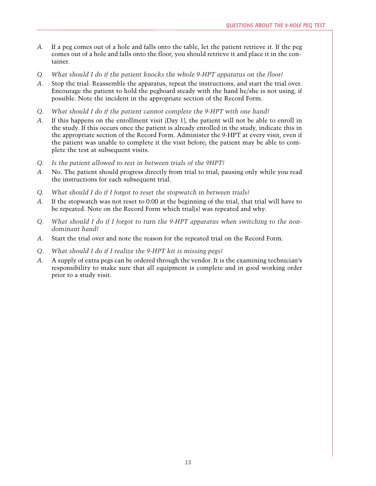- *A.* If a peg comes out of a hole and falls onto the table, let the patient retrieve it. If the peg comes out of a hole and falls onto the floor, you should retrieve it and place it in the container.
- *Q. What should I do if the patient knocks the whole 9-HPT apparatus on the floor?*
- *A.* Stop the trial. Reassemble the apparatus, repeat the instructions, and start the trial over. Encourage the patient to hold the pegboard steady with the hand he/she is not using, if possible. Note the incident in the appropriate section of the Record Form.
- *Q. What should I do if the patient cannot complete the 9-HPT with one hand?*
- *A.* If this happens on the enrollment visit (Day 1), the patient will not be able to enroll in the study. If this occurs once the patient is already enrolled in the study, indicate this in the appropriate section of the Record Form. Administer the 9-HPT at every visit, even if the patient was unable to complete it the visit before; the patient may be able to complete the test at subsequent visits.
- *Q. Is the patient allowed to rest in between trials of the 9HPT?*
- *A.* No. The patient should progress directly from trial to trial, pausing only while you read the instructions for each subsequent trial.
- *Q. What should I do if I forgot to reset the stopwatch in between trials?*
- *A.* If the stopwatch was not reset to 0:00 at the beginning of the trial, that trial will have to be repeated. Note on the Record Form which trial(s) was repeated and why.
- *Q. What should I do if I forgot to turn the 9-HPT apparatus when switching to the nondominant hand?*
- *A.* Start the trial over and note the reason for the repeated trial on the Record Form.
- *Q. What should I do if I realize the 9-HPT kit is missing pegs?*
- *A.* A supply of extra pegs can be ordered through the vendor. It is the examining technician's responsibility to make sure that all equipment is complete and in good working order prior to a study visit.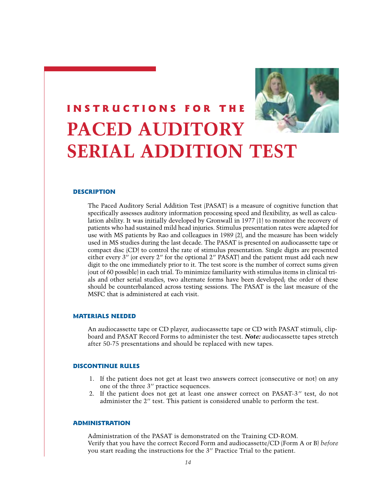

## INSTRUCTIONS FOR THE **PACED AUDITORY SERIAL ADDITION TEST**

#### **DESCRIPTION**

The Paced Auditory Serial Addition Test (PASAT) is a measure of cognitive function that specifically assesses auditory information processing speed and flexibility, as well as calculation ability. It was initially developed by Gronwall in 1977 (1) to monitor the recovery of patients who had sustained mild head injuries. Stimulus presentation rates were adapted for use with MS patients by Rao and colleagues in 1989 (2), and the measure has been widely used in MS studies during the last decade. The PASAT is presented on audiocassette tape or compact disc (CD) to control the rate of stimulus presentation. Single digits are presented either every 3'' (or every 2" for the optional 2" PASAT) and the patient must add each new digit to the one immediately prior to it. The test score is the number of correct sums given (out of 60 possible) in each trial. To minimize familiarity with stimulus items in clinical trials and other serial studies, two alternate forms have been developed; the order of these should be counterbalanced across testing sessions. The PASAT is the last measure of the MSFC that is administered at each visit.

#### MATERIALS NEEDED

An audiocassette tape or CD player, audiocassette tape or CD with PASAT stimuli, clipboard and PASAT Record Forms to administer the test. *Note:* audiocassette tapes stretch after 50-75 presentations and should be replaced with new tapes.

#### DISCONTINUE RULES

- 1. If the patient does not get at least two answers correct (consecutive or not) on any one of the three 3'' practice sequences.
- 2. If the patient does not get at least one answer correct on PASAT-3'' test, do not administer the 2'' test. This patient is considered unable to perform the test.

#### ADMINISTRATION

Administration of the PASAT is demonstrated on the Training CD-ROM. Verify that you have the correct Record Form and audiocassette/CD (Form A or B) *before* you start reading the instructions for the 3'' Practice Trial to the patient.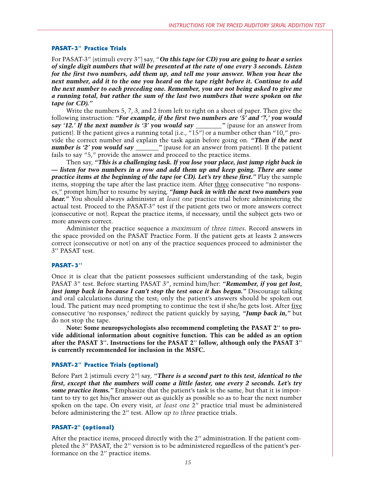#### PASAT-3'' Practice Trials

For PASAT-3" (stimuli every 3'') say, "*On this tape (or CD) you are going to hear a series of single digit numbers that will be presented at the rate of one every 3 seconds. Listen for the first two numbers, add them up, and tell me your answer. When you hear the next number, add it to the one you heard on the tape right before it. Continue to add the next number to each preceding one. Remember, you are not being asked to give me a running total, but rather the sum of the last two numbers that were spoken on the tape (or CD)."*

Write the numbers 5, 7, 3, and 2 from left to right on a sheet of paper. Then give the following instruction: *"For example, if the first two numbers are '5' and '7,' you would say '12.' If the next number is '3' you would say \_\_\_\_\_\_\_"* (pause for an answer from patient). If the patient gives a running total (i.e.,  $\frac{1}{4}$  15") or a number other than "10," provide the correct number and explain the task again before going on. *"Then if the next number is '2' you would say \_\_\_\_\_\_*" (pause for an answer from patient). If the patient fails to say "5," provide the answer and proceed to the practice items.

Then say, *"This is a challenging task. If you lose your place, just jump right back in — listen for two numbers in a row and add them up and keep going. There are some practice items at the beginning of the tape (or CD). Let's try these first."* Play the sample items, stopping the tape after the last practice item. After three consecutive "no responses," prompt him/her to resume by saying, *"Jump back in with the next two numbers you hear."* You should always administer at *least one* practice trial before administering the actual test. Proceed to the PASAT-3" test if the patient gets two or more answers correct (consecutive or not). Repeat the practice items, if necessary, until the subject gets two or more answers correct.

Administer the practice sequence a *maximum of three times*. Record answers in the space provided on the PASAT Practice Form. If the patient gets at leasts 2 answers correct (consecutive or not) on any of the practice sequences proceed to administer the 3**''** PASAT test.

#### PASAT-3''

Once it is clear that the patient possesses sufficient understanding of the task, begin PASAT 3" test. Before starting PASAT 3", remind him/her: *"Remember, if you get lost, just jump back in because I can't stop the test once it has begun.*" Discourage talking and oral calculations during the test; only the patient's answers should be spoken out loud. The patient may need prompting to continue the test if she/he gets lost. After five consecutive 'no responses,' redirect the patient quickly by saying, *"Jump back in,"* but do not stop the tape.

**Note: Some neuropsychologists also recommend completing the PASAT 2'' to provide additional information about cognitive function. This can be added as an option after the PASAT 3''. Instructions for the PASAT 2'' follow, although only the PASAT 3'' is currently recommended for inclusion in the MSFC.** 

#### PASAT-2'' Practice Trials (optional)

Before Part 2 (stimuli every 2") say, *"There is a second part to this test, identical to the first, except that the numbers will come a little faster, one every 2 seconds. Let's try some practice items."* Emphasize that the patient's task is the same, but that it is important to try to get his/her answer out as quickly as possible so as to hear the next number spoken on the tape. On every visit, *at least one* 2'' practice trial must be administered before administering the 2'' test. Allow *up to three* practice trials.

#### PASAT-2'' (optional)

After the practice items, proceed directly with the 2'' administration. If the patient completed the 3'' PASAT, the 2'' version is to be administered regardless of the patient's performance on the 2'' practice items.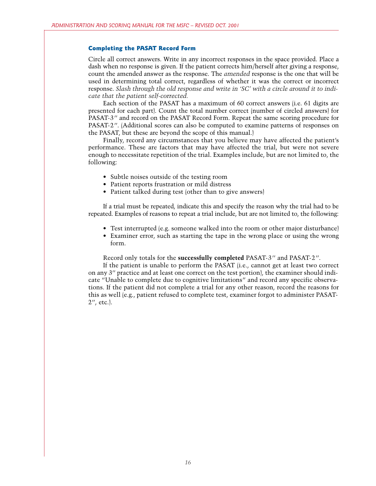#### Completing the PASAT Record Form

Circle all correct answers. Write in any incorrect responses in the space provided. Place a dash when no response is given. If the patient corrects him/herself after giving a response, count the amended answer as the response. The *amended* response is the one that will be used in determining total correct, regardless of whether it was the correct or incorrect response. *Slash through the old response and write in 'SC' with a circle around it to indicate that the patient self-corrected.* 

Each section of the PASAT has a maximum of 60 correct answers (i.e. 61 digits are presented for each part). Count the total number correct (number of circled answers) for PASAT-3'' and record on the PASAT Record Form. Repeat the same scoring procedure for PASAT-2''. (Additional scores can also be computed to examine patterns of responses on the PASAT, but these are beyond the scope of this manual.)

Finally, record any circumstances that you believe may have affected the patient's performance. These are factors that may have affected the trial, but were not severe enough to necessitate repetition of the trial. Examples include, but are not limited to, the following:

- Subtle noises outside of the testing room
- Patient reports frustration or mild distress
- Patient talked during test (other than to give answers)

If a trial must be repeated, indicate this and specify the reason why the trial had to be repeated. Examples of reasons to repeat a trial include, but are not limited to, the following:

- Test interrupted (e.g. someone walked into the room or other major disturbance)
- Examiner error, such as starting the tape in the wrong place or using the wrong form.

Record only totals for the **successfully completed** PASAT-3'' and PASAT-2''.

If the patient is unable to perform the PASAT (i.e., cannot get at least two correct on any 3'' practice and at least one correct on the test portion), the examiner should indicate "Unable to complete due to cognitive limitations" and record any specific observations. If the patient did not complete a trial for any other reason, record the reasons for this as well (e.g., patient refused to complete test, examiner forgot to administer PASAT-2'', etc.).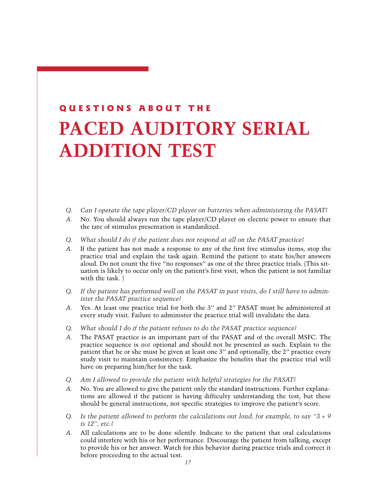### QUESTIONS ABOUT THE **PACED AUDITORY SERIAL ADDITION TEST**

- *Q. Can I operate the tape player/CD player on batteries when administering the PASAT?*
- *A.* No. You should always run the tape player/CD player on electric power to ensure that the rate of stimulus presentation is standardized.
- *Q. What should I do if the patient does not respond at all on the PASAT practice?*
- *A.* If the patient has not made a response to any of the first five stimulus items, stop the practice trial and explain the task again. Remind the patient to state his/her answers aloud. Do not count the five "no responses" as one of the three practice trials. (This situation is likely to occur only on the patient's first visit, when the patient is not familiar with the task. )
- *Q. If the patient has performed well on the PASAT in past visits, do I still have to administer the PASAT practice sequence?*
- *A.* Yes. At least one practice trial for both the 3'' and 2'' PASAT must be administered at every study visit. Failure to administer the practice trial will invalidate the data.
- *Q. What should I do if the patient refuses to do the PASAT practice sequence?*
- *A.* The PASAT practice is an important part of the PASAT and of the overall MSFC. The practice sequence is *not* optional and should not be presented as such. Explain to the patient that he or she must be given at least one 3'' and optionally, the 2'' practice every study visit to maintain consistency. Emphasize the benefits that the practice trial will have on preparing him/her for the task.
- *Q. Am I allowed to provide the patient with helpful strategies for the PASAT?*
- *A.* No. You are allowed to give the patient only the standard instructions. Further explanations are allowed if the patient is having difficulty understanding the test, but these should be general instructions, not specific strategies to improve the patient's score.
- *Q. Is the patient allowed to perform the calculations out loud, for example, to say "3 + 9 is 12'', etc.?*
- *A.* All calculations are to be done silently. Indicate to the patient that oral calculations could interfere with his or her performance. Discourage the patient from talking, except to provide his or her answer. Watch for this behavior during practice trials and correct it before proceeding to the actual test.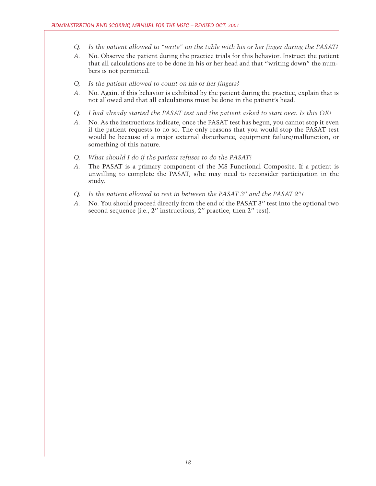- *Q. Is the patient allowed to "write" on the table with his or her finger during the PASAT?*
- *A.* No. Observe the patient during the practice trials for this behavior. Instruct the patient that all calculations are to be done in his or her head and that "writing down" the numbers is not permitted.
- *Q. Is the patient allowed to count on his or her fingers?*
- *A.* No. Again, if this behavior is exhibited by the patient during the practice, explain that is not allowed and that all calculations must be done in the patient's head.
- *Q. I had already started the PASAT test and the patient asked to start over. Is this OK?*
- *A.* No. As the instructions indicate, once the PASAT test has begun, you cannot stop it even if the patient requests to do so. The only reasons that you would stop the PASAT test would be because of a major external disturbance, equipment failure/malfunction, or something of this nature.
- *Q. What should I do if the patient refuses to do the PASAT?*
- *A.* The PASAT is a primary component of the MS Functional Composite. If a patient is unwilling to complete the PASAT, s/he may need to reconsider participation in the study.
- *Q. Is the patient allowed to rest in between the PASAT 3*'' *and the PASAT 2*''*?*
- *A.* No. You should proceed directly from the end of the PASAT 3'' test into the optional two second sequence (i.e., 2" instructions, 2" practice, then 2" test).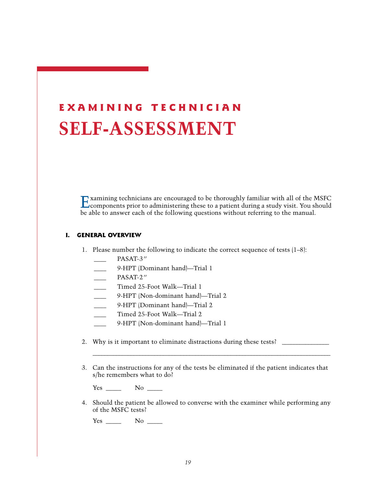### EXAMINING TECHNICIAN **SELF-ASSESSMENT**

Examining technicians are encouraged to be thoroughly familiar with all of the MSFC components prior to administering these to a patient during a study visit. You should be able to answer each of the following questions without referring to the manual.

#### I. GENERAL OVERVIEW

- 1. Please number the following to indicate the correct sequence of tests (1–8):
	- PASAT-3"
	- \_\_\_\_ 9-HPT (Dominant hand)—Trial 1
	- PASAT-2"
	- \_\_\_\_ Timed 25-Foot Walk—Trial 1
	- 9-HPT (Non-dominant hand)—Trial 2
	- \_\_\_\_ 9-HPT (Dominant hand)—Trial 2
	- Timed 25-Foot Walk-Trial 2
	- \_\_\_\_ 9-HPT (Non-dominant hand)—Trial 1
- 2. Why is it important to eliminate distractions during these tests?
- 3. Can the instructions for any of the tests be eliminated if the patient indicates that s/he remembers what to do?

\_\_\_\_\_\_\_\_\_\_\_\_\_\_\_\_\_\_\_\_\_\_\_\_\_\_\_\_\_\_\_\_\_\_\_\_\_\_\_\_\_\_\_\_\_\_\_\_\_\_\_\_\_\_\_\_\_\_\_\_\_\_\_\_\_\_\_\_\_\_\_\_\_\_\_\_\_\_\_\_\_

Yes \_\_\_\_\_ No \_\_\_\_\_

4. Should the patient be allowed to converse with the examiner while performing any of the MSFC tests?

 $Yes \_\_$  No  $\_\_$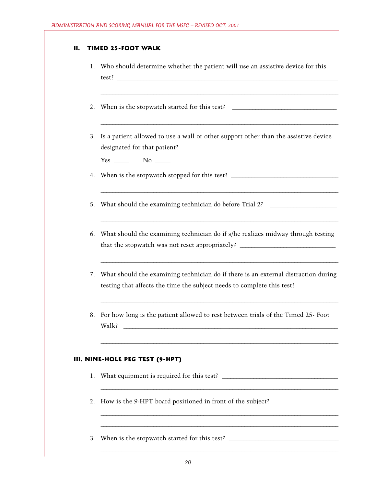### II. TIMED 25-FOOT WALK

|    | 1. Who should determine whether the patient will use an assistive device for this                                                                                      |
|----|------------------------------------------------------------------------------------------------------------------------------------------------------------------------|
| 2. | When is the stopwatch started for this test?                                                                                                                           |
| 3. | Is a patient allowed to use a wall or other support other than the assistive device<br>designated for that patient?                                                    |
|    | $Yes$ No $\rule{1em}{0.15mm}$ No $\rule{1.5mm}{0.15mm}$                                                                                                                |
|    | 4. When is the stopwatch stopped for this test? _________________________________                                                                                      |
|    | 5. What should the examining technician do before Trial 2? _____________________                                                                                       |
|    | 6. What should the examining technician do if s/he realizes midway through testing<br>that the stopwatch was not reset appropriately? ________________________________ |
| 7. | What should the examining technician do if there is an external distraction during<br>testing that affects the time the subject needs to complete this test?           |
|    | 8. For how long is the patient allowed to rest between trials of the Timed 25- Foot                                                                                    |
|    | III. NINE-HOLE PEG TEST (9-HPT)                                                                                                                                        |
|    | 1. What equipment is required for this test?                                                                                                                           |
|    |                                                                                                                                                                        |

3. When is the stopwatch started for this test? \_\_\_\_\_\_\_\_\_\_\_\_\_\_\_\_\_\_\_\_\_\_\_\_\_\_\_\_\_\_\_\_\_

\_\_\_\_\_\_\_\_\_\_\_\_\_\_\_\_\_\_\_\_\_\_\_\_\_\_\_\_\_\_\_\_\_\_\_\_\_\_\_\_\_\_\_\_\_\_\_\_\_\_\_\_\_\_\_\_\_\_\_\_\_\_\_\_\_\_\_\_\_\_\_\_\_\_\_\_\_\_\_\_\_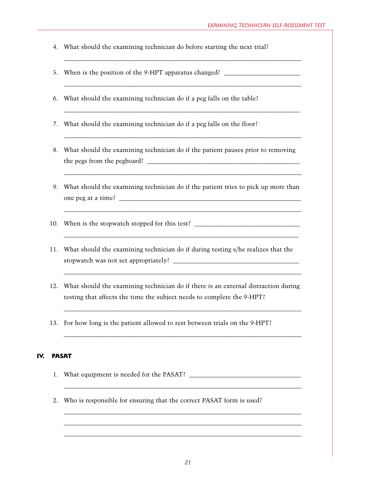4. What should the examining technician do before starting the next trial?

\_\_\_\_\_\_\_\_\_\_\_\_\_\_\_\_\_\_\_\_\_\_\_\_\_\_\_\_\_\_\_\_\_\_\_\_\_\_\_\_\_\_\_\_\_\_\_\_\_\_\_\_\_\_\_\_\_\_\_\_\_\_\_\_\_\_\_\_\_\_\_\_\_\_\_\_\_\_\_\_\_

\_\_\_\_\_\_\_\_\_\_\_\_\_\_\_\_\_\_\_\_\_\_\_\_\_\_\_\_\_\_\_\_\_\_\_\_\_\_\_\_\_\_\_\_\_\_\_\_\_\_\_\_\_\_\_\_\_\_\_\_\_\_\_\_\_\_\_\_\_\_\_\_\_\_\_\_\_\_\_\_\_

\_\_\_\_\_\_\_\_\_\_\_\_\_\_\_\_\_\_\_\_\_\_\_\_\_\_\_\_\_\_\_\_\_\_\_\_\_\_\_\_\_\_\_\_\_\_\_\_\_\_\_\_\_\_\_\_\_\_\_\_\_\_\_\_\_\_\_\_\_\_\_\_\_\_\_\_\_

\_\_\_\_\_\_\_\_\_\_\_\_\_\_\_\_\_\_\_\_\_\_\_\_\_\_\_\_\_\_\_\_\_\_\_\_\_\_\_\_\_\_\_\_\_\_\_\_\_\_\_\_\_\_\_\_\_\_\_\_\_\_\_\_\_\_\_\_\_\_\_\_\_\_\_\_\_\_\_\_\_

\_\_\_\_\_\_\_\_\_\_\_\_\_\_\_\_\_\_\_\_\_\_\_\_\_\_\_\_\_\_\_\_\_\_\_\_\_\_\_\_\_\_\_\_\_\_\_\_\_\_\_\_\_\_\_\_\_\_\_\_\_\_\_\_\_\_\_\_\_\_\_\_\_\_\_\_\_\_\_\_\_

\_\_\_\_\_\_\_\_\_\_\_\_\_\_\_\_\_\_\_\_\_\_\_\_\_\_\_\_\_\_\_\_\_\_\_\_\_\_\_\_\_\_\_\_\_\_\_\_\_\_\_\_\_\_\_\_\_\_\_\_\_\_\_\_\_\_\_\_\_\_\_\_\_\_\_\_\_\_\_\_\_

\_\_\_\_\_\_\_\_\_\_\_\_\_\_\_\_\_\_\_\_\_\_\_\_\_\_\_\_\_\_\_\_\_\_\_\_\_\_\_\_\_\_\_\_\_\_\_\_\_\_\_\_\_\_\_\_\_\_\_\_\_\_\_\_\_\_\_\_\_\_\_\_\_\_\_\_\_\_\_\_

\_\_\_\_\_\_\_\_\_\_\_\_\_\_\_\_\_\_\_\_\_\_\_\_\_\_\_\_\_\_\_\_\_\_\_\_\_\_\_\_\_\_\_\_\_\_\_\_\_\_\_\_\_\_\_\_\_\_\_\_\_\_\_\_\_\_\_\_\_\_\_\_\_\_\_\_\_\_\_\_\_

\_\_\_\_\_\_\_\_\_\_\_\_\_\_\_\_\_\_\_\_\_\_\_\_\_\_\_\_\_\_\_\_\_\_\_\_\_\_\_\_\_\_\_\_\_\_\_\_\_\_\_\_\_\_\_\_\_\_\_\_\_\_\_\_\_\_\_\_\_\_\_\_\_\_\_\_\_\_\_\_\_

\_\_\_\_\_\_\_\_\_\_\_\_\_\_\_\_\_\_\_\_\_\_\_\_\_\_\_\_\_\_\_\_\_\_\_\_\_\_\_\_\_\_\_\_\_\_\_\_\_\_\_\_\_\_\_\_\_\_\_\_\_\_\_\_\_\_\_\_\_\_\_\_\_\_\_\_\_\_\_\_\_

\_\_\_\_\_\_\_\_\_\_\_\_\_\_\_\_\_\_\_\_\_\_\_\_\_\_\_\_\_\_\_\_\_\_\_\_\_\_\_\_\_\_\_\_\_\_\_\_\_\_\_\_\_\_\_\_\_\_\_\_\_\_\_\_\_\_\_\_\_\_\_\_\_\_\_\_\_\_\_\_\_

\_\_\_\_\_\_\_\_\_\_\_\_\_\_\_\_\_\_\_\_\_\_\_\_\_\_\_\_\_\_\_\_\_\_\_\_\_\_\_\_\_\_\_\_\_\_\_\_\_\_\_\_\_\_\_\_\_\_\_\_\_\_\_\_\_\_\_\_\_\_\_\_\_\_\_\_\_\_\_\_\_ \_\_\_\_\_\_\_\_\_\_\_\_\_\_\_\_\_\_\_\_\_\_\_\_\_\_\_\_\_\_\_\_\_\_\_\_\_\_\_\_\_\_\_\_\_\_\_\_\_\_\_\_\_\_\_\_\_\_\_\_\_\_\_\_\_\_\_\_\_\_\_\_\_\_\_\_\_\_\_\_\_ \_\_\_\_\_\_\_\_\_\_\_\_\_\_\_\_\_\_\_\_\_\_\_\_\_\_\_\_\_\_\_\_\_\_\_\_\_\_\_\_\_\_\_\_\_\_\_\_\_\_\_\_\_\_\_\_\_\_\_\_\_\_\_\_\_\_\_\_\_\_\_\_\_\_\_\_\_\_\_\_\_

- 5. When is the position of the 9-HPT apparatus changed?
- 6. What should the examining technician do if a peg falls on the table?
- 7. What should the examining technician do if a peg falls on the floor?
- 8. What should the examining technician do if the patient pauses prior to removing the pegs from the pegboard?
- 9. What should the examining technician do if the patient tries to pick up more than one peg at a time?  $\frac{1}{2}$  and  $\frac{1}{2}$  and  $\frac{1}{2}$  and  $\frac{1}{2}$  and  $\frac{1}{2}$  and  $\frac{1}{2}$  and  $\frac{1}{2}$  and  $\frac{1}{2}$  and  $\frac{1}{2}$  and  $\frac{1}{2}$  and  $\frac{1}{2}$  and  $\frac{1}{2}$  and  $\frac{1}{2}$  and  $\frac{1}{2}$  and  $\frac{1}{$
- 10. When is the stopwatch stopped for this test?
- 11. What should the examining technician do if during testing s/he realizes that the stopwatch was not set appropriately?
- 12. What should the examining technician do if there is an external distraction during testing that affects the time the subject needs to complete the 9-HPT?
- 13. For how long is the patient allowed to rest between trials on the 9-HPT?

#### IV. PASAT

- 1. What equipment is needed for the PASAT?
- 2. Who is responsible for ensuring that the correct PASAT form is used?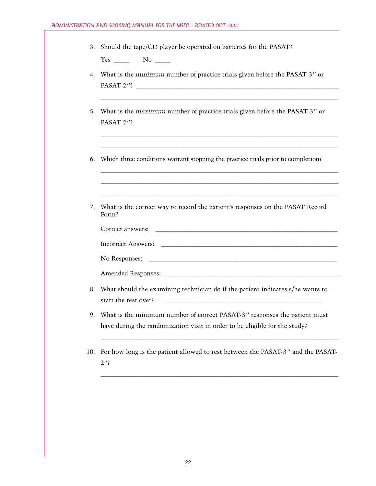|     | 3. Should the tape/CD player be operated on batteries for the PASAT?<br>$Yes \_\_ No \_\_$                                                                 |
|-----|------------------------------------------------------------------------------------------------------------------------------------------------------------|
|     | 4. What is the minimum number of practice trials given before the PASAT-3" or                                                                              |
|     | 5. What is the <i>maximum</i> number of practice trials given before the PASAT-3" or<br>PASAT-2"?                                                          |
|     | 6. Which three conditions warrant stopping the practice trials prior to completion?                                                                        |
|     | 7. What is the correct way to record the patient's responses on the PASAT Record<br>Form?                                                                  |
|     |                                                                                                                                                            |
|     | No Responses:                                                                                                                                              |
|     | 8. What should the examining technician do if the patient indicates s/he wants to<br>start the test over?                                                  |
|     | 9. What is the minimum number of correct PASAT-3" responses the patient must<br>have during the randomization visit in order to be eligible for the study? |
| 10. | For how long is the patient allowed to rest between the PASAT-3" and the PASAT-<br>$2''$ ?                                                                 |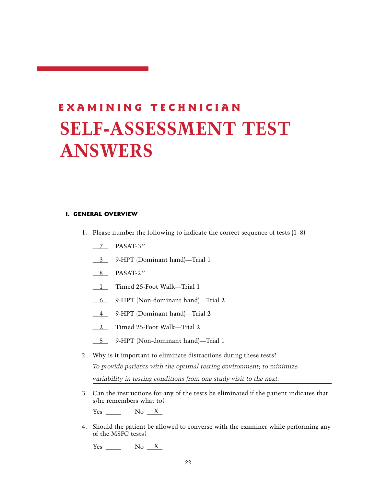### EXAMINING TECHNICIAN **SELF-ASSESSMENT TEST ANSWERS**

#### I. GENERAL OVERVIEW

- 1. Please number the following to indicate the correct sequence of tests (1–8):
	- \_\_\_\_\_7 PASAT-3''
	- \_\_\_\_\_ 3 9-HPT (Dominant hand)—Trial 1
	- \_\_\_\_\_8 PASAT-2''
	- \_\_\_\_\_ 1 Timed 25-Foot Walk—Trial 1
	- \_\_\_\_\_ 6 9-HPT (Non-dominant hand)—Trial 2
	- \_\_\_\_\_ 4 9-HPT (Dominant hand)—Trial 2
	- \_\_\_\_\_ 2 Timed 25-Foot Walk—Trial 2
	- \_\_\_\_\_ 5 9-HPT (Non-dominant hand)—Trial 1
- 2. Why is it important to eliminate distractions during these tests?

*To provide patients with the optimal testing environment; to minimize variability in testing conditions from one study visit to the next.*

3. Can the instructions for any of the tests be eliminated if the patient indicates that s/he remembers what to?

 $Yes \_\_\_\_$  No  $X$ 

4. Should the patient be allowed to converse with the examiner while performing any of the MSFC tests?

 $Yes \_\_\_\_$  No  $X$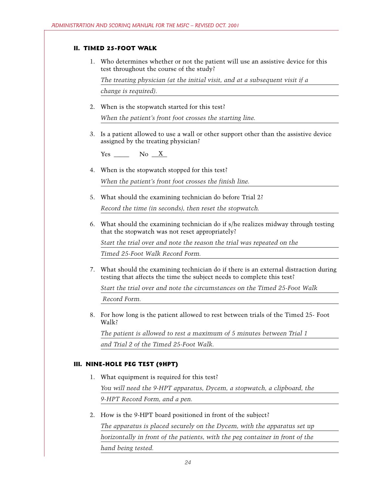#### II. TIMED 25-FOOT WALK

1. Who determines whether or not the patient will use an assistive device for this test throughout the course of the study?

*The treating physician (at the initial visit, and at a subsequent visit if a change is required).*

2. When is the stopwatch started for this test?

*When the patient's front foot crosses the starting line.*

3. Is a patient allowed to use a wall or other support other than the assistive device assigned by the treating physician?

 $Yes \t No \t X$ 

4. When is the stopwatch stopped for this test? *When the patient's front foot crosses the finish line.*

5. What should the examining technician do before Trial 2? *Record the time (in seconds), then reset the stopwatch.*

6. What should the examining technician do if s/he realizes midway through testing that the stopwatch was not reset appropriately?

*Start the trial over and note the reason the trial was repeated on the* 

*Timed 25-Foot Walk Record Form.*

7. What should the examining technician do if there is an external distraction during testing that affects the time the subject needs to complete this test?

*Start the trial over and note the circumstances on the Timed 25-Foot Walk*

*Record Form.*

8. For how long is the patient allowed to rest between trials of the Timed 25- Foot Walk?

*The patient is allowed to rest a maximum of 5 minutes between Trial 1 and Trial 2 of the Timed 25-Foot Walk.*

#### III. NINE-HOLE PEG TEST (9HPT)

- 1. What equipment is required for this test? *You will need the 9-HPT apparatus, Dycem, a stopwatch, a clipboard, the 9-HPT Record Form, and a pen.*
- 2. How is the 9-HPT board positioned in front of the subject? *The apparatus is placed securely on the Dycem, with the apparatus set up horizontally in front of the patients, with the peg container in front of the hand being tested.*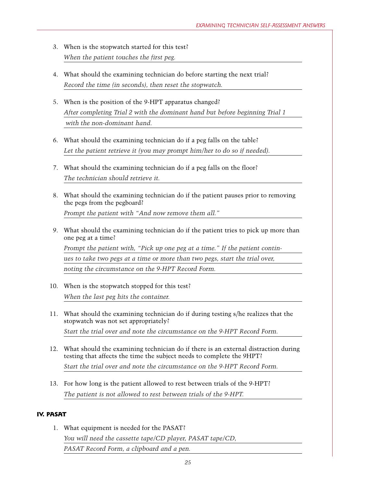- 3. When is the stopwatch started for this test? *When the patient touches the first peg.*
- 4. What should the examining technician do before starting the next trial? *Record the time (in seconds), then reset the stopwatch.*
- 5. When is the position of the 9-HPT apparatus changed? *After completing Trial 2 with the dominant hand but before beginning Trial 1 with the non-dominant hand.*
- 6. What should the examining technician do if a peg falls on the table? *Let the patient retrieve it (you may prompt him/her to do so if needed).*
- 7. What should the examining technician do if a peg falls on the floor? *The technician should retrieve it.*
- 8. What should the examining technician do if the patient pauses prior to removing the pegs from the pegboard? *Prompt the patient with "And now remove them all."*
- 9. What should the examining technician do if the patient tries to pick up more than one peg at a time?

*Prompt the patient with, "Pick up one peg at a time." If the patient continues to take two pegs at a time or more than two pegs, start the trial over, noting the circumstance on the 9-HPT Record Form.*

- 10. When is the stopwatch stopped for this test? *When the last peg hits the container.*
- 11. What should the examining technician do if during testing s/he realizes that the stopwatch was not set appropriately? *Start the trial over and note the circumstance on the 9-HPT Record Form.*
- 12. What should the examining technician do if there is an external distraction during testing that affects the time the subject needs to complete the 9HPT? *Start the trial over and note the circumstance on the 9-HPT Record Form.*
- 13. For how long is the patient allowed to rest between trials of the 9-HPT?

*The patient is not allowed to rest between trials of the 9-HPT.*

### IV. PASAT

1. What equipment is needed for the PASAT? *You will need the cassette tape/CD player, PASAT tape/CD, PASAT Record Form, a clipboard and a pen.*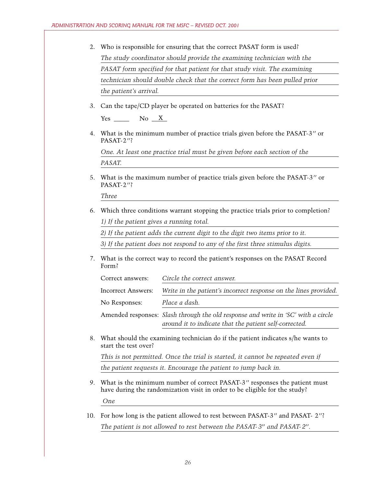| 2.  |                                                                                                        | Who is responsible for ensuring that the correct PASAT form is used?                                                                                    |  |  |  |  |
|-----|--------------------------------------------------------------------------------------------------------|---------------------------------------------------------------------------------------------------------------------------------------------------------|--|--|--|--|
|     | The study coordinator should provide the examining technician with the                                 |                                                                                                                                                         |  |  |  |  |
|     |                                                                                                        | PASAT form specified for that patient for that study visit. The examining                                                                               |  |  |  |  |
|     |                                                                                                        | technician should double check that the correct form has been pulled prior                                                                              |  |  |  |  |
|     | the patient's arrival.                                                                                 |                                                                                                                                                         |  |  |  |  |
| 3.  |                                                                                                        | Can the tape/CD player be operated on batteries for the PASAT?                                                                                          |  |  |  |  |
|     | $\overline{N_0} \_X$<br>$Yes \_\_$                                                                     |                                                                                                                                                         |  |  |  |  |
| 4.  | What is the minimum number of practice trials given before the PASAT-3" or<br>PASAT-2"?                |                                                                                                                                                         |  |  |  |  |
|     | One. At least one practice trial must be given before each section of the                              |                                                                                                                                                         |  |  |  |  |
|     | PASAT.                                                                                                 |                                                                                                                                                         |  |  |  |  |
| 5.  | What is the maximum number of practice trials given before the PASAT-3" or<br>PASAT-2"?                |                                                                                                                                                         |  |  |  |  |
|     | Three                                                                                                  |                                                                                                                                                         |  |  |  |  |
| 6.  | Which three conditions warrant stopping the practice trials prior to completion?                       |                                                                                                                                                         |  |  |  |  |
|     | 1) If the patient gives a running total.                                                               |                                                                                                                                                         |  |  |  |  |
|     |                                                                                                        | 2) If the patient adds the current digit to the digit two items prior to it.                                                                            |  |  |  |  |
|     |                                                                                                        | 3) If the patient does not respond to any of the first three stimulus digits.                                                                           |  |  |  |  |
| 7.  | What is the correct way to record the patient's responses on the PASAT Record<br>Form?                 |                                                                                                                                                         |  |  |  |  |
|     | Correct answers:                                                                                       | Circle the correct answer.                                                                                                                              |  |  |  |  |
|     | <b>Incorrect Answers:</b>                                                                              | Write in the patient's incorrect response on the lines provided.                                                                                        |  |  |  |  |
|     | No Responses:                                                                                          | Place a dash.                                                                                                                                           |  |  |  |  |
|     |                                                                                                        | Amended responses: Slash through the old response and write in 'SC' with a circle<br>around it to indicate that the patient self-corrected.             |  |  |  |  |
| 8.  | What should the examining technician do if the patient indicates s/he wants to<br>start the test over? |                                                                                                                                                         |  |  |  |  |
|     |                                                                                                        | This is not permitted. Once the trial is started, it cannot be repeated even if                                                                         |  |  |  |  |
|     |                                                                                                        | the patient requests it. Encourage the patient to jump back in.                                                                                         |  |  |  |  |
| 9.  |                                                                                                        | What is the minimum number of correct PASAT-3" responses the patient must<br>have during the randomization visit in order to be eligible for the study? |  |  |  |  |
|     |                                                                                                        |                                                                                                                                                         |  |  |  |  |
|     | One                                                                                                    |                                                                                                                                                         |  |  |  |  |
| 10. |                                                                                                        | For how long is the patient allowed to rest between PASAT-3" and PASAT-2"?                                                                              |  |  |  |  |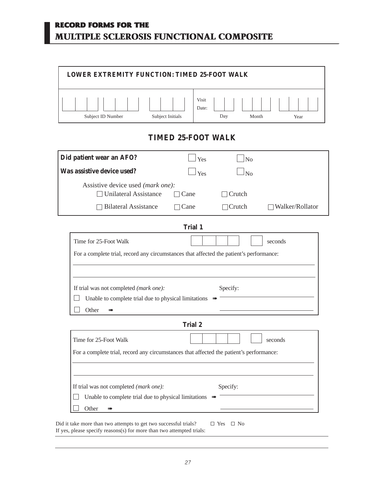### RECORD FORMS FOR THE **MULTIPLE SCLEROSIS FUNCTIONAL COMPOSITE MULTIPLE SCLEROSIS FUNCTIONAL COMPOSITE**

| <b>LOWER EXTREMITY FUNCTION: TIMED 25-FOOT WALK</b>                                     |                           |                         |                 |
|-----------------------------------------------------------------------------------------|---------------------------|-------------------------|-----------------|
| Subject ID Number<br>Subject Initials                                                   | Visit<br>Date:            | Day<br>Month            | Year            |
|                                                                                         | <b>TIMED 25-FOOT WALK</b> |                         |                 |
| Did patient wear an AFO?                                                                | Yes                       | N <sub>0</sub>          |                 |
| Was assistive device used?                                                              | Yes                       | lNo                     |                 |
| Assistive device used (mark one):<br><b>Unilateral Assistance</b>                       | Cane                      | $\exists$ Crutch        |                 |
| <b>Bilateral Assistance</b>                                                             | Cane                      | $\exists$ Crutch        | Walker/Rollator |
|                                                                                         | <b>Trial 1</b>            |                         |                 |
| Time for 25-Foot Walk                                                                   |                           |                         | seconds         |
| For a complete trial, record any circumstances that affected the patient's performance: |                           |                         |                 |
|                                                                                         |                           |                         |                 |
| If trial was not completed (mark one):                                                  |                           | Specify:                |                 |
| Unable to complete trial due to physical limitations                                    |                           |                         |                 |
| Other<br>HIII≫                                                                          |                           |                         |                 |
|                                                                                         | <b>Trial 2</b>            |                         |                 |
| Time for 25-Foot Walk                                                                   |                           |                         | seconds         |
| For a complete trial, record any circumstances that affected the patient's performance: |                           |                         |                 |
|                                                                                         |                           |                         |                 |
| If trial was not completed (mark one):                                                  |                           | Specify:                |                 |
| Unable to complete trial due to physical limitations                                    |                           |                         |                 |
| Other<br>HII                                                                            |                           |                         |                 |
| Did it take more than two attempts to get two successful trials?                        |                           | $\Box$ Yes<br>$\Box$ No |                 |

If yes, please specify reasons(s) for more than two attempted trials: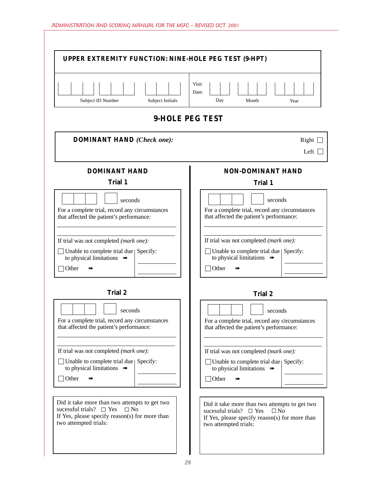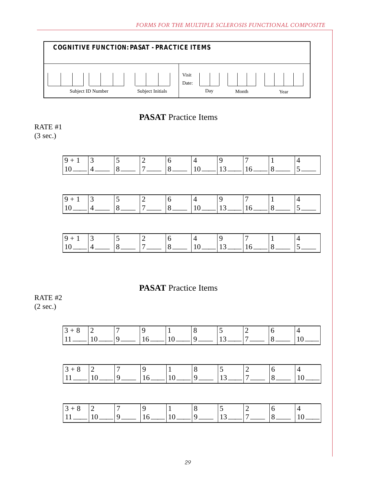#### *FORMS FOR THE MULTIPLE SCLEROSIS FUNCTIONAL COMPOSITE*

|                                                                | Subject ID Number                |                          | Subject Initials                   |                                    | Visit<br>Date:<br>Day       |                         | Month                               | Year               |                                  |
|----------------------------------------------------------------|----------------------------------|--------------------------|------------------------------------|------------------------------------|-----------------------------|-------------------------|-------------------------------------|--------------------|----------------------------------|
| RATE #1<br>(3 sec.)                                            |                                  |                          |                                    |                                    | <b>PASAT</b> Practice Items |                         |                                     |                    |                                  |
| $9 + 1$<br>$10-$                                               | $\mathfrak{Z}$<br>$\overline{4}$ | $\mathfrak{S}$<br>8      | $\boldsymbol{2}$<br>$\overline{7}$ | 6<br>8                             | $\overline{4}$<br>10.       | 9<br>13                 | $\boldsymbol{7}$<br>16.             | $\mathbf{1}$<br>8  | $\overline{4}$<br>5              |
| $9 + 1$<br>$10-$                                               | $\mathfrak{Z}$<br>$\overline{4}$ | $\mathfrak{S}$<br>8.     | $\overline{2}$<br>7.               | 6<br>8                             | $\overline{4}$<br>10        | 9<br>13.                | $\overline{7}$<br>16.               | $\mathbf{1}$<br>8  | $\overline{4}$<br>5.             |
| $9 + 1$<br>$10-$                                               | $\mathfrak{Z}$<br>$\overline{4}$ | $\mathfrak{S}$<br>8.     | $\mathbf{2}$<br>7 <sub>1</sub>     | 6<br>8                             | $\overline{4}$<br>10.       | 9<br>$13-$              | $\boldsymbol{7}$<br>16 <sub>z</sub> | $\mathbf{1}$<br>8. | $\overline{4}$<br>5 <sub>1</sub> |
|                                                                |                                  |                          |                                    |                                    |                             |                         |                                     |                    |                                  |
|                                                                |                                  |                          |                                    |                                    | <b>PASAT</b> Practice Items |                         |                                     |                    |                                  |
| $3 + 8$<br>$11$ <sub>——</sub>                                  | $\vert 2 \vert$<br>$10-$         | $\tau$<br>$9-$           | 9<br>$16$ <sub>——</sub>            | $\mathbf{1}$<br>$10$ —             | 8<br>$9$ —                  | 5 <sup>7</sup><br>$13-$ | $\overline{2}$<br>$7-$              | 6<br>$8-$          | $\overline{4}$<br>$10-$          |
| RATE #2<br>$(2 \text{ sec.})$<br>$3 + 8$<br>$11$ <sub>——</sub> | 2<br>$10-$                       | $\boldsymbol{7}$<br>$9-$ | 9<br>$16$ <sub>——</sub>            | $\mathbf{1}$<br>$10$ <sub>——</sub> | $8\,$<br>$9-$               | 5<br>$13-$              | $\overline{2}$<br>$7-$              | 6<br>$8-$          | $\overline{4}$<br>$10-$          |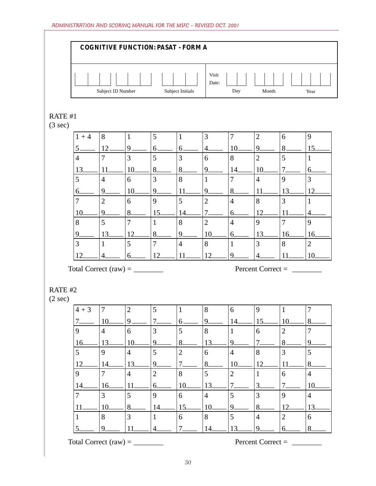1 + 4 8 1 5 1 3 7 2 6 9  $5 \underline{\hspace{1cm}} 12 \underline{\hspace{1cm}} 9 \underline{\hspace{1cm}} 6 \underline{\hspace{1cm}} 6 \underline{\hspace{1cm}} 4 \underline{\hspace{1cm}} 10 \underline{\hspace{1cm}} 9 \underline{\hspace{1cm}} 8 \underline{\hspace{1cm}} 15 \underline{\hspace{1cm}}$ 4 |7 |3 |5 |3 |6 |8 |2 |5 |1 <u>13—— | 11—— | 10—— | 8—— | 9—— | 14—— | 10—— | 7—— | 6——</u> 5 |4 |6 |3 |8 |1 |7 |4 |9 |3 6—— 9—— 10—— 9—— 11—— 9—— 8—— 11—— 13—— 12—— 7269524831 10—— 9—— 8—— 15—— 14—— 7—— 6—— 12—— 11—— 4—— 8 | 5 | 7 | 1 | 8 | 2 | 4 | 9 | 7 | 9 9—— 13—— 12—— 8—— 19—— 10—— 6—— 13—— 16—— 16—— 3 |1 |5 |7 |4 |8 |1 |3 |8 |2  $12$   $|4$   $|6$   $|12$   $|11$   $|12$   $|9$   $|4$   $|11$   $|10$ Total Correct  $(raw) =$  Percent Correct = \_\_\_\_\_\_\_\_ RATE #1  $(3 \text{ sec})$  $4+3$  |7 |2 |5 |1 |8 |6 |9 |1 |7 7—— 10—— 9—— 7—— 6—— 9—— 14—— 15—— 10—— 8—— 9 |4 |6 |3 |5 |8 |1 |6 |2 |7 <u>16—— | 13—— | 10—— | 9—— | 8—— | 13—— | 9—— | 7—— | 8 —— | 9——</u> 5 |9 |4 |5 |2 |6 |4 |8 |3 |5 <u>12 — | 14 — | 13 — | 9 — | 7 — | 8 — | 10 — | 12 — | 11 — | 8 — |</u> 9 | 7 | 4 | 2 | 8 | 5 | 2 | 1 | 6 | 4 <u>14—— | 16—— | 11—— | 6—— | 10—— | 13—— | 7—— | 2—— | 10—— | 10——</u> 7359645394 11—— 10—— 8—— 14—— 15—— 10—— 9—— 8—— 12—— 13—— 1 |8 |3 |1 |6 |8 |5 |4 |2 |6 5—— 9—— 11—— 4—— 7—— 14—— 13—— 9—— 6—— 8—— RATE #2 (2 sec) **COGNITIVE FUNCTION: PASAT - FORM A** Subject ID Number Subject Initials Day Month Year Visit Date: Subject Initials

Total Correct  $(raw) =$  Percent Correct = \_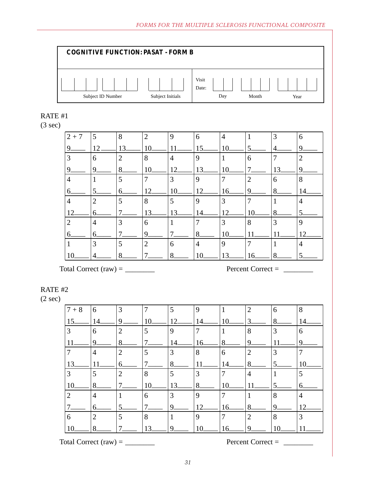

RATE #2

(2 sec)

| $7 + 8$        | 6              | 3              | 7              | 5   | 9   | 1              | $\overline{2}$ | 6    | 8              |
|----------------|----------------|----------------|----------------|-----|-----|----------------|----------------|------|----------------|
| 15.            | 14.            | 9.             | 10.            | 12. | 14. | 10.            | 3.             | 8.   | 14.            |
| 3              | 6              | $\overline{2}$ | 5              | 9   | 7   | $\mathbf{1}$   | 8              | 3    | 6              |
| 11             | $9 -$          | 8.             | $7_{-}$        | 14. | 16. | 8.             | $9-$           | 11   | 9.             |
| 7              | $\overline{4}$ | $\overline{2}$ | 5              | 3   | 8   | 6              | $\overline{2}$ | 3    | 7              |
| 13.            | 11             | 6.             | 7 <sub>1</sub> | 8   | 11  | 14.            | 8.             | 5.   | 10.            |
| $\mathfrak{Z}$ | 5              | $\overline{2}$ | 8              | 5   | 3   | $\overline{7}$ | $\overline{4}$ | 1    | 5              |
| 10.            | 8              | 7              | 10.            | 13. | 8.  | 10.            | 11             | 5.   | 6.             |
| $\overline{2}$ | $\overline{4}$ | $\mathbf{1}$   | 6              | 3   | 9   | 7              | $\mathbf{1}$   | 8    | $\overline{4}$ |
|                | 6.             | 5              | $7-$           | 9   | 12. | 16.            | 8.             | $9-$ | 12             |
| 6              | $\overline{2}$ | 5              | 8              |     | 9   | $\overline{7}$ | $\overline{2}$ | 8    | 3              |
| 10.            | 8              |                | 13.            | 9   | 10. | 16.            | 9              | 10.  | 11             |

Total Correct  $(raw) =$  Percent Correct = \_\_\_\_\_\_\_\_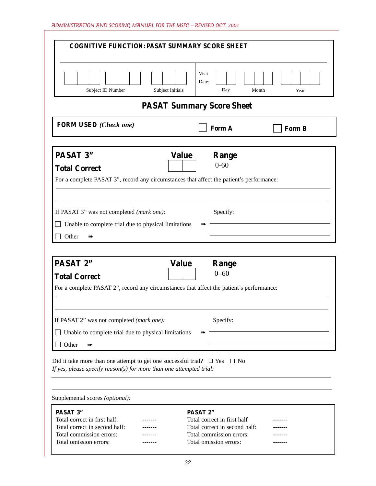| Subject ID Number<br>Subject Initials<br><b>FORM USED (Check one)</b><br><b>PASAT 3"</b><br><b>Value</b><br><b>Total Correct</b><br>For a complete PASAT 3", record any circumstances that affect the patient's performance:<br>If PASAT 3" was not completed (mark one): | Day<br>Month<br>Year<br><b>PASAT Summary Score Sheet</b><br>Form A<br>Form B<br>Range<br>$0 - 60$ |  |
|---------------------------------------------------------------------------------------------------------------------------------------------------------------------------------------------------------------------------------------------------------------------------|---------------------------------------------------------------------------------------------------|--|
|                                                                                                                                                                                                                                                                           |                                                                                                   |  |
|                                                                                                                                                                                                                                                                           |                                                                                                   |  |
|                                                                                                                                                                                                                                                                           |                                                                                                   |  |
|                                                                                                                                                                                                                                                                           |                                                                                                   |  |
|                                                                                                                                                                                                                                                                           |                                                                                                   |  |
|                                                                                                                                                                                                                                                                           |                                                                                                   |  |
|                                                                                                                                                                                                                                                                           |                                                                                                   |  |
|                                                                                                                                                                                                                                                                           |                                                                                                   |  |
|                                                                                                                                                                                                                                                                           | Specify:                                                                                          |  |
| Unable to complete trial due to physical limitations                                                                                                                                                                                                                      |                                                                                                   |  |
| Other                                                                                                                                                                                                                                                                     |                                                                                                   |  |
|                                                                                                                                                                                                                                                                           |                                                                                                   |  |
| <b>PASAT 2"</b><br><b>Value</b>                                                                                                                                                                                                                                           | Range                                                                                             |  |
| <b>Total Correct</b>                                                                                                                                                                                                                                                      | $0 - 60$                                                                                          |  |
| For a complete PASAT 2", record any circumstances that affect the patient's performance:                                                                                                                                                                                  |                                                                                                   |  |
|                                                                                                                                                                                                                                                                           |                                                                                                   |  |
|                                                                                                                                                                                                                                                                           |                                                                                                   |  |
| If PASAT 2" was not completed (mark one):                                                                                                                                                                                                                                 | Specify:                                                                                          |  |
|                                                                                                                                                                                                                                                                           |                                                                                                   |  |
| Unable to complete trial due to physical limitations<br>Other                                                                                                                                                                                                             |                                                                                                   |  |

Total omission errors: ------- Total omission errors: -------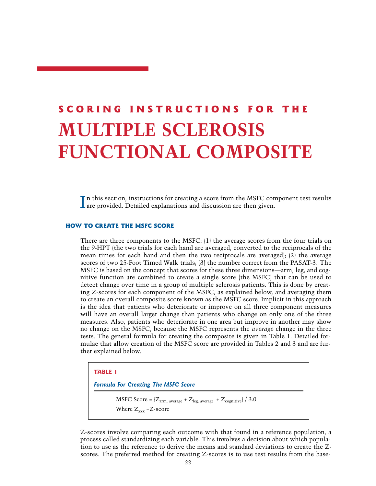## SCORING INSTRUCTIONS FOR THE **MULTIPLE SCLEROSIS FUNCTIONAL COMPOSITE**

In this section, instructions for creating a score from the MSFC component test results are provided. Detailed explanations and discussion are then given. are provided. Detailed explanations and discussion are then given.

#### HOW TO CREATE THE MSFC SCORE

There are three components to the MSFC: (1) the average scores from the four trials on the 9-HPT (the two trials for each hand are averaged, converted to the reciprocals of the mean times for each hand and then the two reciprocals are averaged); (2) the average scores of two 25-Foot Timed Walk trials; (3) the number correct from the PASAT-3. The MSFC is based on the concept that scores for these three dimensions—arm, leg, and cognitive function are combined to create a single score (the MSFC) that can be used to detect change over time in a group of multiple sclerosis patients. This is done by creating Z-scores for each component of the MSFC, as explained below, and averaging them to create an overall composite score known as the MSFC score. Implicit in this approach is the idea that patients who deteriorate or improve on all three component measures will have an overall larger change than patients who change on only one of the three measures. Also, patients who deteriorate in one area but improve in another may show no change on the MSFC, because the MSFC represents the *average* change in the three tests. The general formula for creating the composite is given in Table 1. Detailed formulae that allow creation of the MSFC score are provided in Tables 2 and 3 and are further explained below.

#### **TABLE 1**

*Formula For Creating The MSFC Score*

MSFC Score =  $\{Z_{arm, average} + Z_{leg, average} + Z_{cognitive}\}$  / 3.0 Where  $Z_{\text{vyc}} = Z$ -score

Z-scores involve comparing each outcome with that found in a reference population, a process called standardizing each variable. This involves a decision about which population to use as the reference to derive the means and standard deviations to create the Zscores. The preferred method for creating Z-scores is to use test results from the base-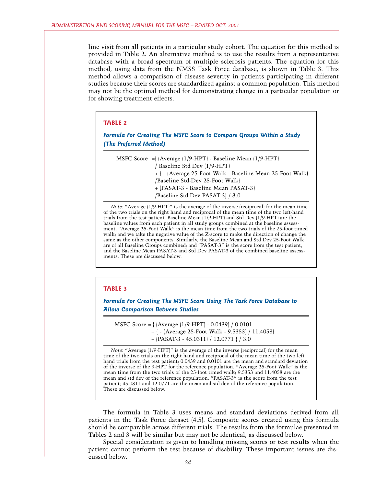line visit from all patients in a particular study cohort. The equation for this method is provided in Table 2. An alternative method is to use the results from a representative database with a broad spectrum of multiple sclerosis patients. The equation for this method, using data from the NMSS Task Force database, is shown in Table 3. This method allows a comparison of disease severity in patients participating in different studies because their scores are standardized against a common population. This method may not be the optimal method for demonstrating change in a particular population or for showing treatment effects.

#### **TABLE 2**

*Formula For Creating The MSFC Score to Compare Groups Within a Study (The Preferred Method)* 

MSFC Score ={ (Average (1/9-HPT) - Baseline Mean (1/9-HPT) / Baseline Std Dev (1/9-HPT) + { - (Average 25-Foot Walk - Baseline Mean 25-Foot Walk) /Baseline Std-Dev 25-Foot Walk} + (PASAT-3 - Baseline Mean PASAT-3) /Baseline Std Dev PASAT-3} / 3.0

*Note:* "Average (1/9-HPT)" is the average of the inverse (reciprocal) for the mean time of the two trials on the right hand and reciprocal of the mean time of the two left-hand trials from the test patient, Baseline Mean (1/9-HPT) and Std Dev (1/9-HPT) are the baseline values from each patient in all study groups combined at the baseline assessment; "Average 25-Foot Walk" is the mean time from the two trials of the 25-foot timed walk; and we take the negative value of the Z-score to make the direction of change the same as the other components. Similarly, the Baseline Mean and Std Dev 25-Foot Walk are of all Baseline Groups combined; and "PASAT-3" is the score from the test patient, and the Baseline Mean PASAT-3 and Std Dev PASAT-3 of the combined baseline assessments. These are discussed below.

#### **TABLE 3**

*Formula For Creating The MSFC Score Using The Task Force Database to Allow Comparison Between Studies* 

MSFC Score = { (Average (1/9-HPT) - 0.0439) / 0.0101 + { - (Average 25-Foot Walk - 9.5353) / 11.4058} + (PASAT-3 - 45.0311) / 12.0771 } / 3.0

*Note*: "Average (1/9-HPT)" is the average of the inverse (reciprocal) for the mean time of the two trials on the right hand and reciprocal of the mean time of the two left hand trials from the test patient; 0.0439 and 0.0101 are the mean and standard deviation of the inverse of the 9-HPT for the reference population. "Average 25-Foot Walk" is the mean time from the two trials of the 25-foot timed walk; 9.5353 and 11.4058 are the mean and std dev of the reference population. "PASAT-3" is the score from the test patient; 45.0311 and 12.0771 are the mean and std dev of the reference population. These are discussed below.

The formula in Table 3 uses means and standard deviations derived from all patients in the Task Force dataset (4,5). Composite scores created using this formula should be comparable across different trials. The results from the formulae presented in Tables 2 and 3 will be similar but may not be identical, as discussed below.

Special consideration is given to handling missing scores or test results when the patient cannot perform the test because of disability. These important issues are discussed below.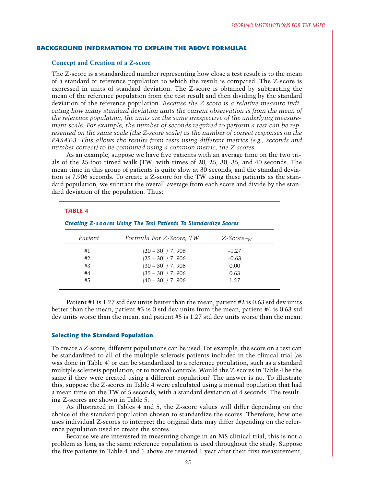#### BACKGROUND INFORMATION TO EXPLAIN THE ABOVE FORMULAE

#### **Concept and Creation of a Z-score**

The Z-score is a standardized number representing how close a test result is to the mean of a standard or reference population to which the result is compared. The Z-score is expressed in units of standard deviation. The Z-score is obtained by subtracting the mean of the reference population from the test result and then dividing by the standard deviation of the reference population. *Because the Z-score is a relative measure indicating how many standard deviation units the current observation is from the mean of the reference population, the units are the same irrespective of the underlying measurement scale. For example, the number of seconds required to perform a test can be represented on the same scale (the Z-score scale) as the number of correct responses on the PASAT-3. This allows the results from tests using different metrics (e.g., seconds and number correct) to be combined using a common metric, the Z-scores.*

As an example, suppose we have five patients with an average time on the two trials of the 25-foot timed walk (TW) with times of 20, 25, 30, 35, and 40 seconds. The mean time in this group of patients is quite slow at 30 seconds, and the standard deviation is 7.906 seconds. To create a Z-score for the TW using these patients as the standard population, we subtract the overall average from each score and divide by the standard deviation of the population. Thus:

| <b>TABLE 4</b>                                                  |                          |  |  |  |
|-----------------------------------------------------------------|--------------------------|--|--|--|
| Creating Z-scores Using The Test Patients To Standardize Scores |                          |  |  |  |
| Formula For Z-Score, TW                                         | $Z$ -Score <sub>TW</sub> |  |  |  |
| $(20 - 30) / 7.906$                                             | $-1.27$                  |  |  |  |
| $(25 - 30) / 7.906$                                             | $-0.63$                  |  |  |  |
| $(30 - 30) / 7.906$                                             | 0.00                     |  |  |  |
| $(35 - 30) / 7.906$                                             | 0.63                     |  |  |  |
| $(40 - 30) / 7.906$                                             | 1.27                     |  |  |  |
|                                                                 |                          |  |  |  |

Patient #1 is 1.27 std dev units better than the mean, patient #2 is 0.63 std dev units better than the mean, patient #3 is 0 std dev units from the mean, patient #4 is 0.63 std dev units worse than the mean, and patient #5 is 1.27 std dev units worse than the mean.

#### Selecting the Standard Population

To create a Z-score, different populations can be used. For example, the score on a test can be standardized to all of the multiple sclerosis patients included in the clinical trial (as was done in Table 4) or can be standardized to a reference population, such as a standard multiple sclerosis population, or to normal controls. Would the Z-scores in Table 4 be the same if they were created using a different population? The answer is no. To illustrate this, suppose the Z-scores in Table 4 were calculated using a normal population that had a mean time on the TW of 5 seconds, with a standard deviation of 4 seconds. The resulting Z-scores are shown in Table 5.

As illustrated in Tables 4 and 5, the Z-score values will differ depending on the choice of the standard population chosen to standardize the scores. Therefore, how one uses individual Z-scores to interpret the original data may differ depending on the reference population used to create the scores.

Because we are interested in measuring change in an MS clinical trial, this is not a problem as long as the same reference population is used throughout the study. Suppose the five patients in Table 4 and 5 above are retested 1 year after their first measurement,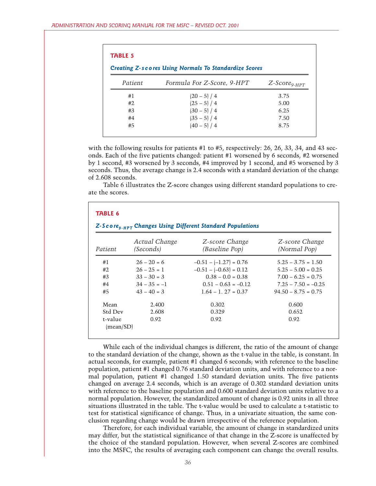|         | <b>Creating Z-scores Using Normals To Standardize Scores</b> |                             |
|---------|--------------------------------------------------------------|-----------------------------|
| Patient | Formula For Z-Score, 9-HPT                                   | $Z$ -Score <sub>9-HPT</sub> |
| #1      | $(20 - 5) / 4$                                               | 3.75                        |
| #2.     | $(25 - 5) / 4$                                               | 5.00                        |
| #3      | $(30 - 5) / 4$                                               | 6.25                        |
| #4      | $(35 - 5) / 4$                                               | 7.50                        |
| #5      | $(40 - 5) / 4$                                               | 8.75                        |

with the following results for patients #1 to #5, respectively: 26, 26, 33, 34, and 43 seconds. Each of the five patients changed: patient #1 worsened by 6 seconds, #2 worsened by 1 second, #3 worsened by 3 seconds, #4 improved by 1 second, and #5 worsened by 3 seconds. Thus, the average change is 2.4 seconds with a standard deviation of the change of 2.608 seconds.

Table 6 illustrates the Z-score changes using different standard populations to create the scores.

| Z-Score <sub>9-HPT</sub> Changes Using Different Standard Populations |                            |                                         |                                |  |
|-----------------------------------------------------------------------|----------------------------|-----------------------------------------|--------------------------------|--|
| Patient                                                               | Actual Change<br>(Seconds) | Z-score Change<br><i>(Baseline Pop)</i> | Z-score Change<br>(Normal Pop) |  |
| #1                                                                    | $26 - 20 = 6$              | $-0.51 - (-1.27) = 0.76$                | $5.25 - 3.75 = 1.50$           |  |
| #2.                                                                   | $26 - 25 = 1$              | $-0.51 - (-0.63) = 0.12$                | $5.25 - 5.00 = 0.25$           |  |
| #3                                                                    | $33 - 30 = 3$              | $0.38 - 0.0 = 0.38$                     | $7.00 - 6.25 = 0.75$           |  |
| #4                                                                    | $34 - 35 = -1$             | $0.51 - 0.63 = -0.12$                   | $7.25 - 7.50 = -0.25$          |  |
| #5                                                                    | $43 - 40 = 3$              | $1.64 - 1.27 = 0.37$                    | $94.50 - 8.75 = 0.75$          |  |
| Mean                                                                  | 2.400                      | 0.302                                   | 0.600                          |  |
| Std Dev                                                               | 2.608                      | 0.329                                   | 0.652                          |  |
| t-value<br> mean/SD                                                   | 0.92                       | 0.92                                    | 0.92                           |  |

While each of the individual changes is different, the ratio of the amount of change to the standard deviation of the change, shown as the t-value in the table, is constant. In actual seconds, for example, patient #1 changed 6 seconds; with reference to the baseline population, patient #1 changed 0.76 standard deviation units, and with reference to a normal population, patient #1 changed 1.50 standard deviation units. The five patients changed on average 2.4 seconds, which is an average of 0.302 standard deviation units with reference to the baseline population and 0.600 standard deviation units relative to a normal population. However, the standardized amount of change is 0.92 units in all three situations illustrated in the table. The t-value would be used to calculate a t-statistic to test for statistical significance of change. Thus, in a univariate situation, the same conclusion regarding change would be drawn irrespective of the reference population.

Therefore, for each individual variable, the amount of change in standardized units may differ, but the statistical significance of that change in the Z-score is unaffected by the choice of the standard population. However, when several Z-scores are combined into the MSFC, the results of averaging each component can change the overall results.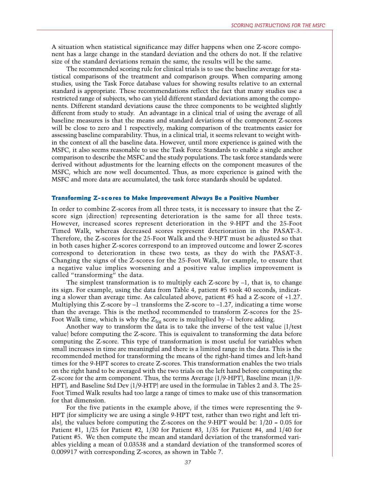A situation when statistical significance may differ happens when one Z-score component has a large change in the standard deviation and the others do not. If the relative size of the standard deviations remain the same, the results will be the same.

The recommended scoring rule for clinical trials is to use the baseline average for statistical comparisons of the treatment and comparison groups. When comparing among studies, using the Task Force database values for showing results relative to an external standard is appropriate. These recommendations reflect the fact that many studies use a restricted range of subjects, who can yield different standard deviations among the components. Different standard deviations cause the three components to be weighted slightly different from study to study. An advantage in a clinical trial of using the average of all baseline measures is that the means and standard deviations of the component Z-scores will be close to zero and 1 respectively, making comparison of the treatments easier for assessing baseline comparability. Thus, in a clinical trial, it seems relevant to weight within the context of all the baseline data. However, until more experience is gained with the MSFC, it also seems reasonable to use the Task Force Standards to enable a single anchor comparison to describe the MSFC and the study populations. The task force standards were derived without adjustments for the learning effects on the component measures of the MSFC, which are now well documented. Thus, as more experience is gained with the MSFC and more data are accumulated, the task force standards should be updated.

#### Transforming Z-scores to Make Improvement Always Be a Positive Number

In order to combine Z-scores from all three tests, it is necessary to insure that the Zscore sign (direction) representing deterioration is the same for all three tests. However, increased scores represent deterioration in the 9-HPT and the 25-Foot Timed Walk, whereas decreased scores represent deterioration in the PASAT-3. Therefore, the Z-scores for the 25-Foot Walk and the 9-HPT must be adjusted so that in both cases higher Z-scores correspond to an improved outcome and lower Z-scores correspond to deterioration in these two tests, as they do with the PASAT-3. Changing the signs of the Z-scores for the 25-Foot Walk, for example, to ensure that a negative value implies worsening and a positive value implies improvement is called "transforming" the data.

The simplest transformation is to multiply each  $Z$ -score by  $-I$ , that is, to change its sign. For example, using the data from Table 4, patient #5 took 40 seconds, indicating a slower than average time. As calculated above, patient #5 had a Z-score of +1.27. Multiplying this Z-score by  $-1$  transforms the Z-score to  $-1.27$ , indicating a time worse than the average. This is the method recommended to transform Z-scores for the 25- Foot Walk time, which is why the  $Z_{leg}$  score is multiplied by  $-1$  before adding.

Another way to transform the data is to take the inverse of the test value  $(1/\text{test})$ value) before computing the Z-score. This is equivalent to transforming the data before computing the Z-score. This type of transformation is most useful for variables when small increases in time are meaningful and there is a limited range in the data. This is the recommended method for transforming the means of the right-hand times and left-hand times for the 9-HPT scores to create Z-scores. This transformation enables the two trials on the right hand to be averaged with the two trials on the left hand before computing the Z-score for the arm component. Thus, the terms Average (1/9-HPT), Baseline mean (1/9- HPT), and Baseline Std Dev (1/9-HTP) are used in the formulae in Tables 2 and 3. The 25- Foot Timed Walk results had too large a range of times to make use of this transormation for that dimension.

For the five patients in the example above, if the times were representing the 9- HPT (for simplicity we are using a single 9-HPT test, rather than two right and left trials), the values before computing the Z-scores on the 9-HPT would be: 1/20 = 0.05 for Patient #1,  $1/25$  for Patient #2,  $1/30$  for Patient #3,  $1/35$  for Patient #4, and  $1/40$  for Patient #5. We then compute the mean and standard deviation of the transformed variables yielding a mean of 0.03538 and a standard deviation of the transformed scores of 0.009917 with corresponding Z-scores, as shown in Table 7.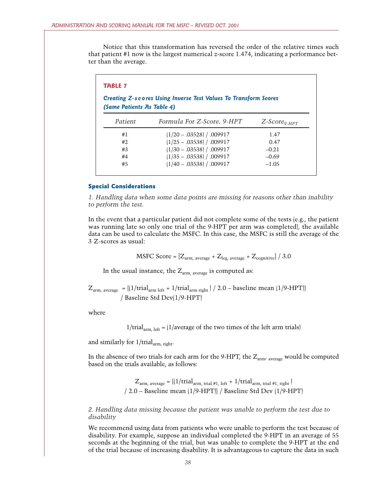Notice that this transformation has reversed the order of the relative times such that patient #1 now is the largest numerical z-score 1.474, indicating a performance better than the average.

| <i>(Same Patients As Table 4)</i> | <b>Creating Z-scores Using Inverse Test Values To Transform Scores</b> |                             |
|-----------------------------------|------------------------------------------------------------------------|-----------------------------|
| Patient                           | Formula For Z-Score, 9-HPT                                             | $Z$ -Score <sub>9-HPT</sub> |
| #1                                | $(1/20 - .03528) / .009917$                                            | 1.47                        |
| #2.                               | $(1/25 - .03538) / .009917$                                            | 0.47                        |
| #3                                | $(1/30 - .03538) / .009917$                                            | $-0.21$                     |
| #4                                | $(1/35 - .03538) / .009917$                                            | $-0.69$                     |
| #5                                | $(1/40 - .03538) / .009917$                                            | $-1.05$                     |

#### Special Considerations

*1. Handling data when some data points are missing for reasons other than inability to perform the test.* 

In the event that a particular patient did not complete some of the tests (e.g., the patient was running late so only one trial of the 9-HPT per arm was completed), the available data can be used to calculate the MSFC. In this case, the MSFC is still the average of the 3 Z-scores as usual:

$$
MSPC Score = [Z_{arm, average} + Z_{leg, average} + Z_{cognitive}] / 3.0
$$

In the usual instance, the  $Z_{arm. average}$  is computed as:

$$
Z_{arm, average} = \{ [1/trial_{arm left} + 1/trial_{arm right}) / 2.0 - baseline mean (1/9-HPT) \}
$$
  
/ Baseline Std Dev(1/9-HPT)

where

 $1/trial_{arm, left} = (1/average of the two times of the left arm trials)$ 

and similarly for  $1/\text{trial}_{arm. \text{ right}}$ .

In the absence of two trials for each arm for the 9-HPT, the  $Z_{arm/average}$  would be computed based on the trials available, as follows:

> $\text{Z}_{\text{arm, average}} = \{\text{(1/trial}_{\text{arm, trial\#1, left}} + \text{1/trial}_{\text{arm, trial\#1, right}}\}$ / 2.0 – Baseline mean (1/9-HPT)} / Baseline Std Dev (1/9-HPT)

*2. Handling data missing because the patient was unable to perform the test due to disability*

We recommend using data from patients who were unable to perform the test because of disability. For example, suppose an individual completed the 9-HPT in an average of 55 seconds at the beginning of the trial, but was unable to complete the 9-HPT at the end of the trial because of increasing disability. It is advantageous to capture the data in such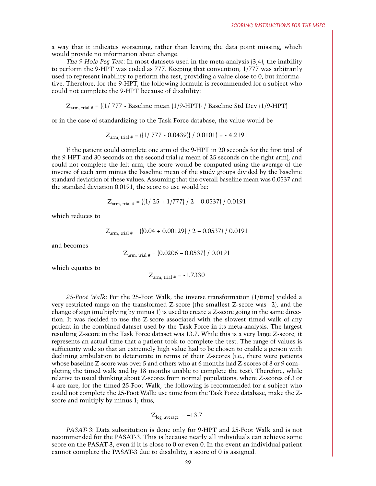a way that it indicates worsening, rather than leaving the data point missing, which would provide no information about change.

*The 9 Hole Peg Test*: In most datasets used in the meta-analysis (3,4), the inability to perform the 9-HPT was coded as 777. Keeping that convention, 1/777 was arbitrarily used to represent inability to perform the test, providing a value close to 0, but informative. Therefore, for the 9-HPT, the following formula is recommended for a subject who could not complete the 9-HPT because of disability:

 $Z_{arm\_trial\#} = \{(1/777 - Baseline mean (1/9-HPT)\}/ Baseline Std Dev (1/9-HPT)$ 

or in the case of standardizing to the Task Force database, the value would be

$$
Z_{arm, trial\#}
$$
 = ({1/ 777 - 0.0439}) / 0.0101) = -4.2191

If the patient could complete one arm of the 9-HPT in 20 seconds for the first trial of the 9-HPT and 30 seconds on the second trial (a mean of 25 seconds on the right arm), and could not complete the left arm, the score would be computed using the average of the inverse of each arm minus the baseline mean of the study groups divided by the baseline standard deviation of these values. Assuming that the overall baseline mean was 0.0537 and the standard deviation 0.0191, the score to use would be:

$$
Z_{arm, trial\#}
$$
 = {{1/25 + 1/777}} / 2 - 0.0537 / 0.0191

which reduces to

$$
Z_{arm, trial\#}
$$
 = {{0.04 + 0.00129} / 2 - 0.0537} / 0.0191

and becomes

$$
Z_{\text{arm, trial #}} = (0.0206 - 0.0537) / 0.0191
$$

which equates to

$$
Z_{arm, trial\#} = -1.7330
$$

*25-Foot Walk*: For the 25-Foot Walk, the inverse transformation (1/time) yielded a very restricted range on the transformed Z-score (the smallest Z-score was –2), and the change of sign (multiplying by minus 1) is used to create a Z-score going in the same direction. It was decided to use the Z-score associated with the slowest timed walk of any patient in the combined dataset used by the Task Force in its meta-analysis. The largest resulting Z-score in the Task Force dataset was 13.7. While this is a very large Z-score, it represents an actual time that a patient took to complete the test. The range of values is sufficienty wide so that an extremely high value had to be chosen to enable a person with declining ambulation to deteriorate in terms of their Z-scores (i.e., there were patients whose baseline Z-score was over 5 and others who at 6 months had Z-scores of 8 or 9 completing the timed walk and by 18 months unable to complete the test). Therefore, while relative to usual thinking about Z-scores from normal populations, where Z-scores of 3 or 4 are rare, for the timed 25-Foot Walk, the following is recommended for a subject who could not complete the 25-Foot Walk: use time from the Task Force database, make the Zscore and multiply by minus 1; thus,

$$
Z_{\text{leg, average}} = -13.7
$$

*PASAT- 3*: Data substitution is done only for 9-HPT and 25-Foot Walk and is not recommended for the PASAT-3. This is because nearly all individuals can achieve some score on the PASAT-3, even if it is close to 0 or even 0. In the event an individual patient cannot complete the PASAT-3 due to disability, a score of 0 is assigned.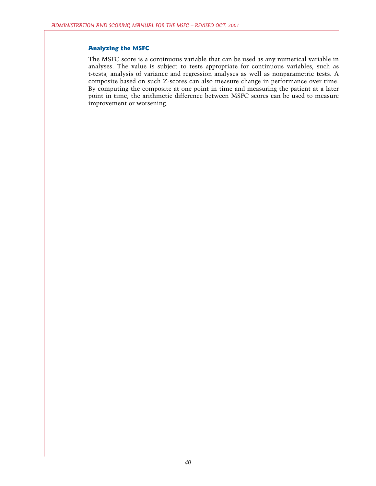#### Analyzing the MSFC

The MSFC score is a continuous variable that can be used as any numerical variable in analyses. The value is subject to tests appropriate for continuous variables, such as t-tests, analysis of variance and regression analyses as well as nonparametric tests. A composite based on such Z-scores can also measure change in performance over time. By computing the composite at one point in time and measuring the patient at a later point in time, the arithmetic difference between MSFC scores can be used to measure improvement or worsening.